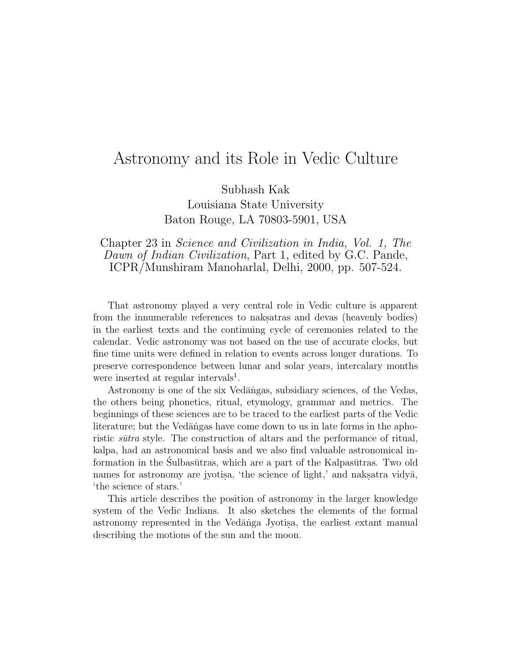# Astronomy and its Role in Vedic Culture

Subhash Kak

Louisiana State University Baton Rouge, LA 70803-5901, USA

### Chapter 23 in Science and Civilization in India, Vol. 1, The Dawn of Indian Civilization, Part 1, edited by G.C. Pande, ICPR/Munshiram Manoharlal, Delhi, 2000, pp. 507-524.

That astronomy played a very central role in Vedic culture is apparent from the innumerable references to naksatras and devas (heavenly bodies) in the earliest texts and the continuing cycle of ceremonies related to the calendar. Vedic astronomy was not based on the use of accurate clocks, but fine time units were defined in relation to events across longer durations. To preserve correspondence between lunar and solar years, intercalary months were inserted at regular intervals<sup>1</sup>.

Astronomy is one of the six Vedangas, subsidiary sciences, of the Vedas, the others being phonetics, ritual, etymology, grammar and metrics. The beginnings of these sciences are to be traced to the earliest parts of the Vedic literature; but the Vedangas have come down to us in late forms in the aphoristic *sūtra* style. The construction of altars and the performance of ritual, kalpa, had an astronomical basis and we also find valuable astronomical information in the Sulbasūtras, which are a part of the Kalpasūtras. Two old names for astronomy are jyotisa, 'the science of light,' and naksatra vidy $\bar{a}$ , 'the science of stars.'

This article describes the position of astronomy in the larger knowledge system of the Vedic Indians. It also sketches the elements of the formal astronomy represented in the Vedānga Jyotisa, the earliest extant manual describing the motions of the sun and the moon.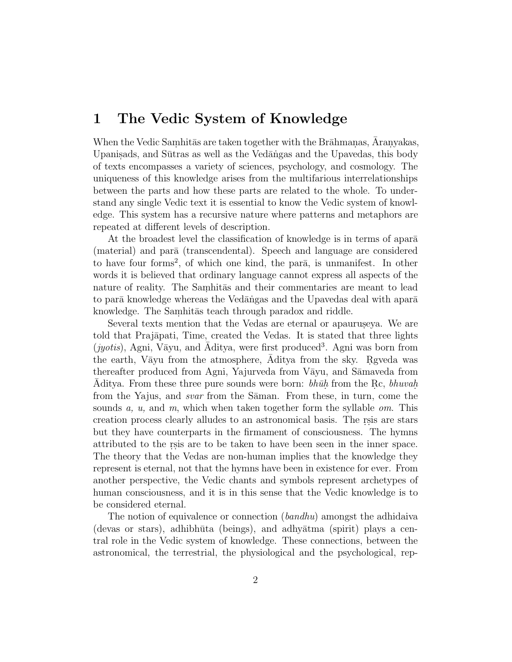## **1 The Vedic System of Knowledge**

When the Vedic Samhitas are taken together with the Brahmanas, Aranyakas, Upanis. Upanisads, and Sūtras as well as the Vedāngas and the Upavedas, this body of texts encompasses a variety of sciences, psychology, and cosmology. The uniqueness of this knowledge arises from the multifarious interrelationships between the parts and how these parts are related to the whole. To understand any single Vedic text it is essential to know the Vedic system of knowledge. This system has a recursive nature where patterns and metaphors are repeated at different levels of description.

At the broadest level the classification of knowledge is in terms of apara (material) and para (transcendental). Speech and language are considered to have four forms<sup>2</sup>, of which one kind, the par $\bar{a}$ , is unmanifest. In other words it is believed that ordinary language cannot express all aspects of the nature of reality. The Samhitas and their commentaries are meant to lead to parā knowledge whereas the Vedāngas and the Upavedas deal with aparā knowledge. The Samhitas teach through paradox and riddle.

Several texts mention that the Vedas are eternal or apauruseya. We are told that Prajāpati, Time, created the Vedas. It is stated that three lights  $(jyotis)$ , Agni, Vāyu, and Aditya, were first produced<sup>3</sup>. Agni was born from the earth, Vayu from the atmosphere, Aditya from the sky. Reveda was thereafter produced from Agni, Yajurveda from Vāyu, and Sāmaveda from Aditya. From these three pure sounds were born:  $bh\bar{u}h$  from the Rc, bhuvah. from the Yajus, and *svar* from the Saman. From these, in turn, come the sounds a, u, and m, which when taken together form the syllable  $\omega$ . This creation process clearly alludes to an astronomical basis. The resis are stars but they have counterparts in the firmament of consciousness. The hymns attributed to the resis are to be taken to have been seen in the inner space. The theory that the Vedas are non-human implies that the knowledge they represent is eternal, not that the hymns have been in existence for ever. From another perspective, the Vedic chants and symbols represent archetypes of human consciousness, and it is in this sense that the Vedic knowledge is to be considered eternal.

The notion of equivalence or connection *(bandhu)* amongst the adhidaiva (devas or stars), adhibhūta (beings), and adhyātma (spirit) plays a central role in the Vedic system of knowledge. These connections, between the astronomical, the terrestrial, the physiological and the psychological, rep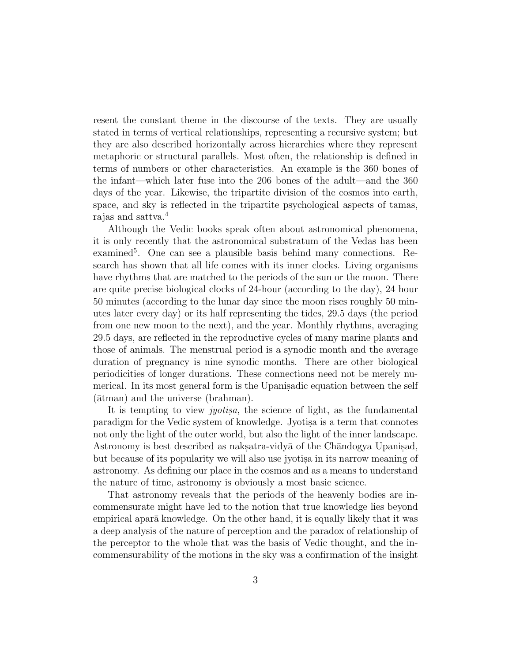resent the constant theme in the discourse of the texts. They are usually stated in terms of vertical relationships, representing a recursive system; but they are also described horizontally across hierarchies where they represent metaphoric or structural parallels. Most often, the relationship is defined in terms of numbers or other characteristics. An example is the 360 bones of the infant—which later fuse into the 206 bones of the adult—and the 360 days of the year. Likewise, the tripartite division of the cosmos into earth, space, and sky is reflected in the tripartite psychological aspects of tamas, rajas and sattva.<sup>4</sup>

Although the Vedic books speak often about astronomical phenomena, it is only recently that the astronomical substratum of the Vedas has been examined<sup>5</sup>. One can see a plausible basis behind many connections. Research has shown that all life comes with its inner clocks. Living organisms have rhythms that are matched to the periods of the sun or the moon. There are quite precise biological clocks of 24-hour (according to the day), 24 hour 50 minutes (according to the lunar day since the moon rises roughly 50 minutes later every day) or its half representing the tides, 29.5 days (the period from one new moon to the next), and the year. Monthly rhythms, averaging 29.5 days, are reflected in the reproductive cycles of many marine plants and those of animals. The menstrual period is a synodic month and the average duration of pregnancy is nine synodic months. There are other biological periodicities of longer durations. These connections need not be merely numerical. In its most general form is the Upanisadic equation between the self ( $\bar{\text{at}}$ man) and the universe (brahman).

It is tempting to view *juotisa*, the science of light, as the fundamental paradigm for the Vedic system of knowledge. Jyotisa is a term that connotes not only the light of the outer world, but also the light of the inner landscape. Astronomy is best described as naksatra-vidya of the Chandogya Upanisad, but because of its popularity we will also use jyotisa in its narrow meaning of astronomy. As defining our place in the cosmos and as a means to understand the nature of time, astronomy is obviously a most basic science.

That astronomy reveals that the periods of the heavenly bodies are incommensurate might have led to the notion that true knowledge lies beyond empirical aparā knowledge. On the other hand, it is equally likely that it was a deep analysis of the nature of perception and the paradox of relationship of the perceptor to the whole that was the basis of Vedic thought, and the incommensurability of the motions in the sky was a confirmation of the insight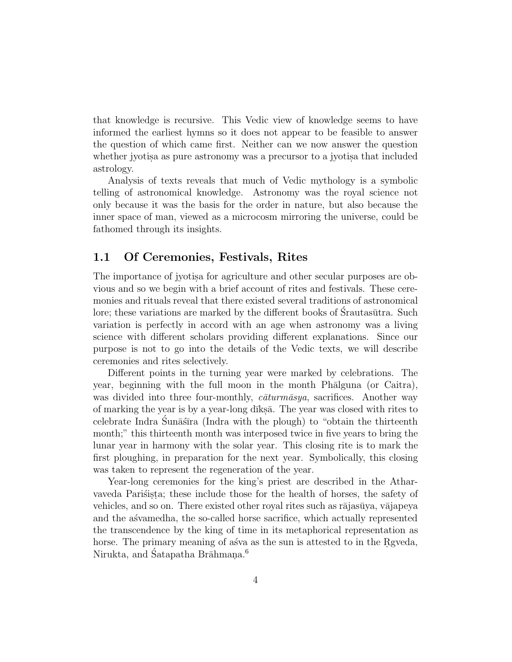that knowledge is recursive. This Vedic view of knowledge seems to have informed the earliest hymns so it does not appear to be feasible to answer the question of which came first. Neither can we now answer the question whether jyotisa as pure astronomy was a precursor to a jyotisa that included astrology.

Analysis of texts reveals that much of Vedic mythology is a symbolic telling of astronomical knowledge. Astronomy was the royal science not only because it was the basis for the order in nature, but also because the inner space of man, viewed as a microcosm mirroring the universe, could be fathomed through its insights.

### **1.1 Of Ceremonies, Festivals, Rites**

The importance of jyotisa for agriculture and other secular purposes are obvious and so we begin with a brief account of rites and festivals. These ceremonies and rituals reveal that there existed several traditions of astronomical lore; these variations are marked by the different books of Srautasūtra. Such variation is perfectly in accord with an age when astronomy was a living science with different scholars providing different explanations. Since our purpose is not to go into the details of the Vedic texts, we will describe ceremonies and rites selectively.

Different points in the turning year were marked by celebrations. The year, beginning with the full moon in the month Phālguna (or Caitra), was divided into three four-monthly,  $c\bar{a}turn\bar{a}sga$ , sacrifices. Another way of marking the year is by a year-long d $\overline{a}$ ks. The year was closed with rites to celebrate Indra Sunā stīra (Indra with the plough) to "obtain the thirteenth month;" this thirteenth month was interposed twice in five years to bring the lunar year in harmony with the solar year. This closing rite is to mark the first ploughing, in preparation for the next year. Symbolically, this closing was taken to represent the regeneration of the year.

Year-long ceremonies for the king's priest are described in the Atharvaveda Parisista; these include those for the health of horses, the safety of vehicles, and so on. There existed other royal rites such as rājasūya, vājapeya and the asvamedha, the so-called horse sacrifice, which actually represented the transcendence by the king of time in its metaphorical representation as horse. The primary meaning of as va as the sun is attested to in the Rgveda, Nirukta, and Satapatha Brāhmana.<sup>6</sup>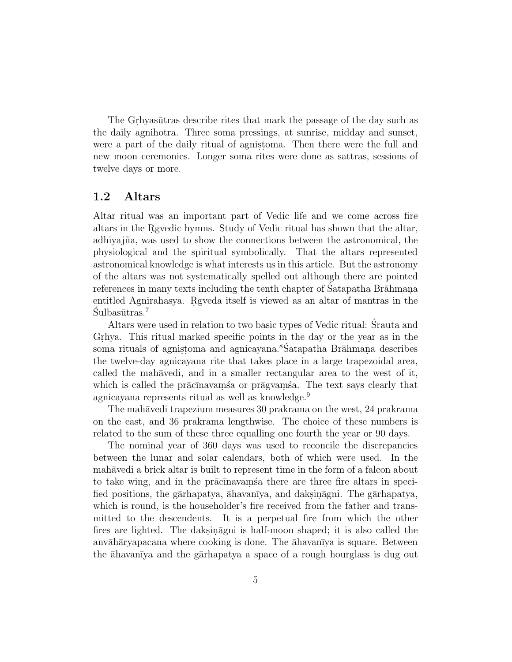The Grhyasūtras describe rites that mark the passage of the day such as the daily agnihotra. Three soma pressings, at sunrise, midday and sunset, were a part of the daily ritual of agnistoma. Then there were the full and new moon ceremonies. Longer soma rites were done as sattras, sessions of twelve days or more.

### **1.2 Altars**

Altar ritual was an important part of Vedic life and we come across fire altars in the Regular hymns. Study of Vedic ritual has shown that the altar, adhiyajña, was used to show the connections between the astronomical, the physiological and the spiritual symbolically. That the altars represented astronomical knowledge is what interests us in this article. But the astronomy of the altars was not systematically spelled out although there are pointed references in many texts including the tenth chapter of Satapatha Brahman. entitled Agnirahasya. Reveda itself is viewed as an altar of mantras in the  $S$ ulbasūtras.<sup>7</sup>

Altars were used in relation to two basic types of Vedic ritual: Srauta and ´ Grhya. This ritual marked specific points in the day or the year as in the soma rituals of agnistoma and agnicayana.<sup>8</sup>Satapatha Brāhmana describes the twelve-day agnicayana rite that takes place in a large trapezoidal area, called the mahavedi, and in a smaller rectangular area to the west of it, which is called the prācīnavams a or prāgvams a. The text says clearly that agnicayana represents ritual as well as knowledge.<sup>9</sup>

The mahāvedi trapezium measures 30 prakrama on the west, 24 prakrama on the east, and 36 prakrama lengthwise. The choice of these numbers is related to the sum of these three equalling one fourth the year or 90 days.

The nominal year of 360 days was used to reconcile the discrepancies between the lunar and solar calendars, both of which were used. In the mahāvedi a brick altar is built to represent time in the form of a falcon about to take wing, and in the prācīnavams a there are three fire altars in specified positions, the gārhapatya, āhavanīya, and daksināgni. The gārhapatya, which is round, is the householder's fire received from the father and transmitted to the descendents. It is a perpetual fire from which the other fires are lighted. The daksinagni is half-moon shaped; it is also called the anvāhāryapacana where cooking is done. The āhavanīya is square. Between the  $\bar{a}$ havan $\bar{a}$  and the g $\bar{a}$ rhapatya a space of a rough hourglass is dug out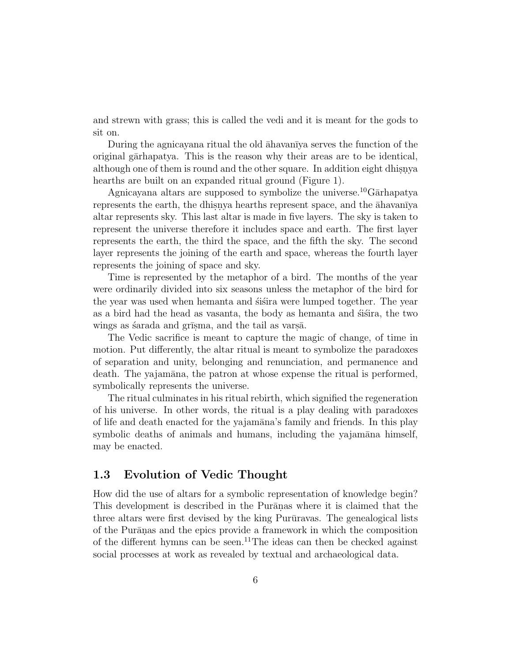and strewn with grass; this is called the vedi and it is meant for the gods to sit on.

During the agnicayana ritual the old  $\bar{a}$ havan<del>t</del>ya serves the function of the original garhapatya. This is the reason why their areas are to be identical, although one of them is round and the other square. In addition eight dhisnya hearths are built on an expanded ritual ground (Figure 1).

Agnicayana altars are supposed to symbolize the universe.<sup>10</sup>Garhapatya represents the earth, the dhisnya hearths represent space, and the  $\bar{a}$ havanīya altar represents sky. This last altar is made in five layers. The sky is taken to represent the universe therefore it includes space and earth. The first layer represents the earth, the third the space, and the fifth the sky. The second layer represents the joining of the earth and space, whereas the fourth layer represents the joining of space and sky.

Time is represented by the metaphor of a bird. The months of the year were ordinarily divided into six seasons unless the metaphor of the bird for the year was used when hemanta and strain were lumped together. The year as a bird had the head as vasanta, the body as hemanta and stages the two wings as sarada and grīsma, and the tail as varsā.

The Vedic sacrifice is meant to capture the magic of change, of time in motion. Put differently, the altar ritual is meant to symbolize the paradoxes of separation and unity, belonging and renunciation, and permanence and death. The yajamāna, the patron at whose expense the ritual is performed, symbolically represents the universe.

The ritual culminates in his ritual rebirth, which signified the regeneration of his universe. In other words, the ritual is a play dealing with paradoxes of life and death enacted for the yajamāna's family and friends. In this play symbolic deaths of animals and humans, including the yajamāna himself, may be enacted.

### **1.3 Evolution of Vedic Thought**

How did the use of altars for a symbolic representation of knowledge begin? This development is described in the Purānas where it is claimed that the three altars were first devised by the king Purūravas. The genealogical lists of the Purānas and the epics provide a framework in which the composition of the different hymns can be seen.<sup>11</sup>The ideas can then be checked against social processes at work as revealed by textual and archaeological data.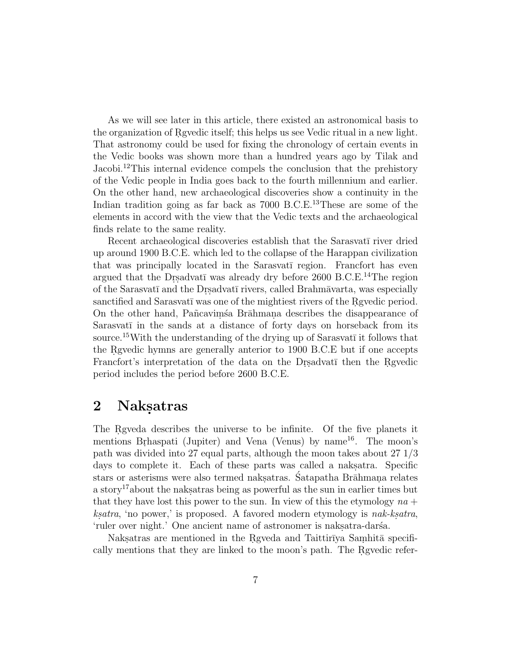As we will see later in this article, there existed an astronomical basis to the organization of Rgvedic itself; this helps us see Vedic ritual in a new light. That astronomy could be used for fixing the chronology of certain events in the Vedic books was shown more than a hundred years ago by Tilak and Jacobi.<sup>12</sup>This internal evidence compels the conclusion that the prehistory of the Vedic people in India goes back to the fourth millennium and earlier. On the other hand, new archaeological discoveries show a continuity in the Indian tradition going as far back as 7000 B.C.E.<sup>13</sup>These are some of the elements in accord with the view that the Vedic texts and the archaeological finds relate to the same reality.

Recent archaeological discoveries establish that the Sarasvati river dried up around 1900 B.C.E. which led to the collapse of the Harappan civilization that was principally located in the Sarasvat<del>i</del> region. Francfort has even argued that the Drsadvatī was already dry before  $2600$  B.C.E.<sup>14</sup>The region of the Sarasvatī and the Drsadvatī rivers, called Brahmāvarta, was especially sanctified and Sarasvatī was one of the mightiest rivers of the Rgvedic period. On the other hand, Pañcavims a Brāhmana describes the disappearance of Sarasvatī in the sands at a distance of forty days on horseback from its source.<sup>15</sup>With the understanding of the drying up of Sarasvat $\bar{\text{i}}$  it follows that the Regular hymns are generally anterior to 1900 B.C.E but if one accepts Francfort's interpretation of the data on the Dr. gadvatī then the R. gvedic period includes the period before 2600 B.C.E.

## 2 Naksatras

The Rgveda describes the universe to be infinite. Of the five planets it mentions Brhaspati (Jupiter) and Vena (Venus) by name<sup>16</sup>. The moon's path was divided into 27 equal parts, although the moon takes about 27 1/3 days to complete it. Each of these parts was called a naksatra. Specific stars or asterisms were also termed naksatras. Satapatha Brāhmana relates a story<sup>17</sup> about the naks atras being as powerful as the sun in earlier times but that they have lost this power to the sun. In view of this the etymology  $na +$  $ksatra$ , 'no power,' is proposed. A favored modern etymology is nak-ksatra, 'ruler over night.' One ancient name of astronomer is naksatra-dars<sup>a</sup>.

Naksatras are mentioned in the Rgveda and Taittirīya Samhitā specifically mentions that they are linked to the moon's path. The Rgyedic refer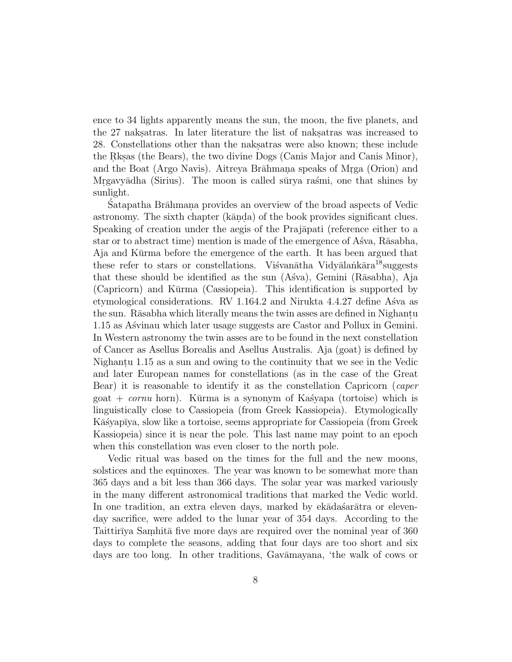ence to 34 lights apparently means the sun, the moon, the five planets, and the 27 naks atras. In later literature the list of naks atras was increased to 28. Constellations other than the nakes also known; these include the Rks. (the Bears), the two divine Dogs (Canis Major and Canis Minor), and the Boat (Argo Navis). Aitreya Brāhmana speaks of Mrga (Orion) and Mrgavyādha (Sirius). The moon is called sūrya raśmi, one that shines by sunlight.

Satapatha Brāhmana provides an overview of the broad aspects of Vedic astronomy. The sixth chapter (kanda) of the book provides significant clues. Speaking of creation under the aegis of the Prajapati (reference either to a star or to abstract time) mention is made of the emergence of Asva, Rāsabha, Aja and Kūrma before the emergence of the earth. It has been argued that these refer to stars or constellations. Visvan $\bar{\text{at}}$ ha Vidy $\bar{\text{a}}$ lank $\bar{\text{a}}$ ra<sup>18</sup>suggests that these should be identified as the sun  $(Aśva)$ , Gemini  $(Rāsabha)$ , Aja (Capricorn) and Kūrma (Cassiopeia). This identification is supported by etymological considerations. RV  $1.164.2$  and Nirukta  $4.4.27$  define Asva as the sun. Rāsabha which literally means the twin asses are defined in Nighantu 1.15 as Asvinau which later usage suggests are Castor and Pollux in Gemini. In Western astronomy the twin asses are to be found in the next constellation of Cancer as Asellus Borealis and Asellus Australis. Aja (goat) is defined by Nighantu 1.15 as a sun and owing to the continuity that we see in the Vedic and later European names for constellations (as in the case of the Great Bear) it is reasonable to identify it as the constellation Capricorn (caper goat + *cornu* horn). Kūrma is a synonym of Kastyapa (tortoise) which is linguistically close to Cassiopeia (from Greek Kassiopeia). Etymologically Kāśyapīya, slow like a tortoise, seems appropriate for Cassiopeia (from Greek Kassiopeia) since it is near the pole. This last name may point to an epoch when this constellation was even closer to the north pole.

Vedic ritual was based on the times for the full and the new moons, solstices and the equinoxes. The year was known to be somewhat more than 365 days and a bit less than 366 days. The solar year was marked variously in the many different astronomical traditions that marked the Vedic world. In one tradition, an extra eleven days, marked by ek $\bar{a}$ dasáar $\bar{a}$ tra or elevenday sacrifice, were added to the lunar year of 354 days. According to the Taittirīya Samhitā five more days are required over the nominal year of 360 days to complete the seasons, adding that four days are too short and six days are too long. In other traditions, Gavamayana, 'the walk of cows or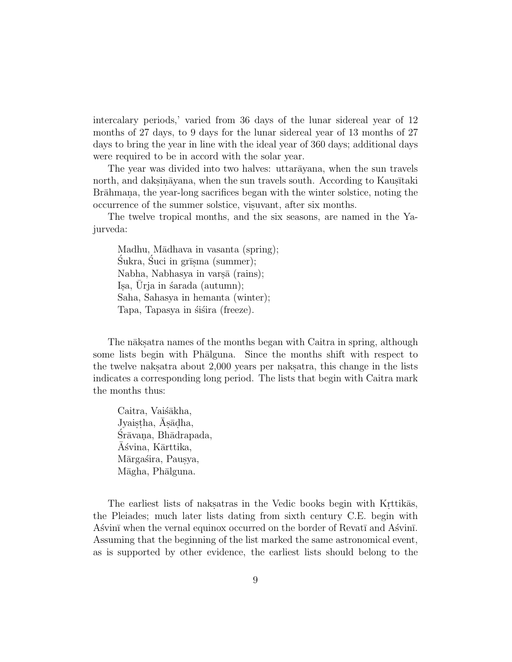intercalary periods,' varied from 36 days of the lunar sidereal year of 12 months of 27 days, to 9 days for the lunar sidereal year of 13 months of 27 days to bring the year in line with the ideal year of 360 days; additional days were required to be in accord with the solar year.

The year was divided into two halves: uttar $\bar{a}$ yana, when the sun travels north, and daksinayana, when the sun travels south. According to Kaus. Taki Brāhmana, the year-long sacrifices began with the winter solstice, noting the occurrence of the summer solstice, visuvant, after six months.

The twelve tropical months, and the six seasons, are named in the Yajurveda:

Madhu, Mādhava in vasanta (spring);  $Sukra, Suci in grīsma (summer);$ Nabha, Nabhasya in varṣā (rains); Isa, Urja in  $\delta$ arada (autumn); Saha, Sahasya in hemanta (winter); Tapa, Tapasya in śiśira (freeze).

The n $\bar{a}$ ks atra names of the months began with Caitra in spring, although some lists begin with Phālguna. Since the months shift with respect to the twelve naksatra about 2,000 years per naksatra, this change in the lists indicates a corresponding long period. The lists that begin with Caitra mark the months thus:

Caitra, Vaiśākha, Jyaistha, Asadha, Srāvana, Bhādrapada, Ašvina, Kārttika, Mārgaśira, Pausya, Māgha, Phālguna.

The earliest lists of naksatras in the Vedic books begin with Krittikas, the Pleiades; much later lists dating from sixth century C.E. begin with Asvinī when the vernal equinox occurred on the border of Revatī and Asvinī. Assuming that the beginning of the list marked the same astronomical event, as is supported by other evidence, the earliest lists should belong to the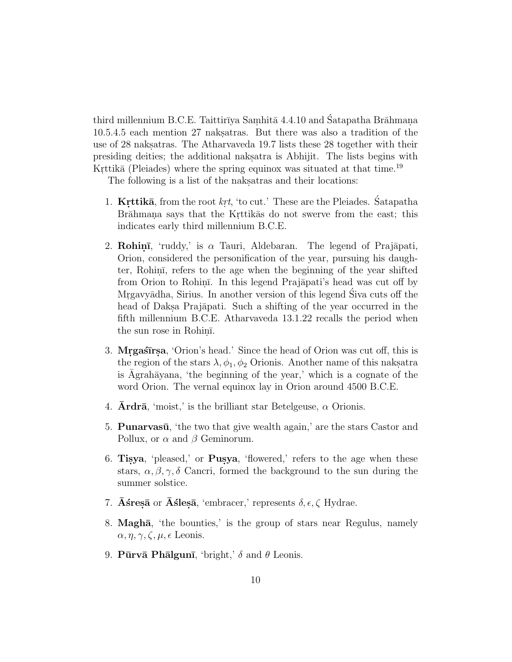third millennium B.C.E. Taittirīya Samhitā  $4.4.10$  and Satapatha Brāhmana 10.5.4.5 each mention 27 naks atras. But there was also a tradition of the use of 28 naksatras. The Atharvaveda 19.7 lists these 28 together with their presiding deities; the additional nakes at a Abhijit. The lists begins with Krttika (Pleiades) where the spring equinox was situated at that time.<sup>19</sup>

The following is a list of the naksatras and their locations:

- 1. **Krttikā**, from the root  $krt$ , 'to cut.' These are the Pleiades. Satapatha Brāhmana says that the Krittikās do not swerve from the east; this indicates early third millennium B.C.E.
- 2. **Rohinī**, 'ruddy,' is  $\alpha$  Tauri, Aldebaran. The legend of Prajāpati, Orion, considered the personification of the year, pursuing his daughter, Rohini, refers to the age when the beginning of the year shifted from Orion to Rohini. In this legend Prajāpati's head was cut off by Mrgavyādha, Sirius. In another version of this legend Siva cuts off the head of Daksa Prajāpati. Such a shifting of the year occurred in the fifth millennium B.C.E. Atharvaveda 13.1.22 recalls the period when the sun rose in Rohini.
- 3. **Mrgastirsa**, 'Orion's head.' Since the head of Orion was cut off, this is the region of the stars  $\lambda$ ,  $\phi_1$ ,  $\phi_2$  Orionis. Another name of this nakes atra is Agrahāyana, 'the beginning of the year,' which is a cognate of the word Orion. The vernal equinox lay in Orion around 4500 B.C.E.
- 4. **Ardrā**, 'moist,' is the brilliant star Betelgeuse,  $\alpha$  Orionis.
- 5. **Punarvasū**, 'the two that give wealth again,' are the stars Castor and Pollux, or  $\alpha$  and  $\beta$  Geminorum.
- 6. **Tisya**, 'pleased,' or **Pusya**, 'flowered,' refers to the age when these stars,  $\alpha, \beta, \gamma, \delta$  Cancri, formed the background to the sun during the summer solstice.
- 7. **Astres** or **Asles** a, 'embracer,' represents  $\delta$ ,  $\epsilon$ ,  $\zeta$  Hydrae.
- 8. **Magh¯a**, 'the bounties,' is the group of stars near Regulus, namely  $\alpha, \eta, \gamma, \zeta, \mu, \epsilon$  Leonis.
- 9. **Pūrvā Phālgunī**, 'bright,'  $\delta$  and  $\theta$  Leonis.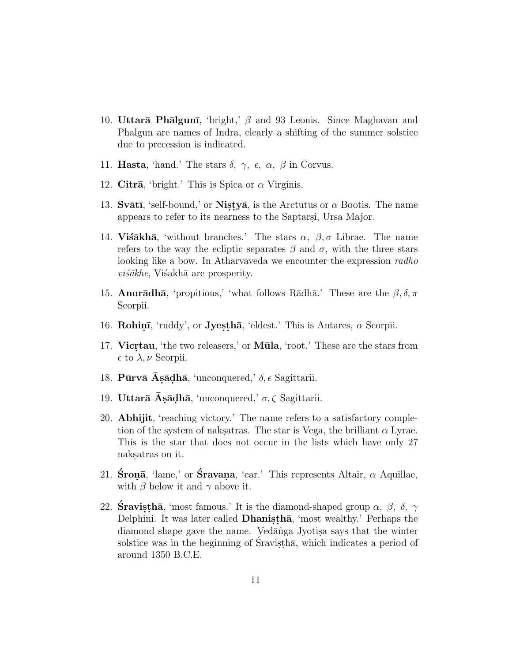- 10. **Uttarā Phālgunī**, 'bright,'  $\beta$  and 93 Leonis. Since Maghavan and Phalgun are names of Indra, clearly a shifting of the summer solstice due to precession is indicated.
- 11. **Hasta**, 'hand.' The stars  $\delta$ ,  $\gamma$ ,  $\epsilon$ ,  $\alpha$ ,  $\beta$  in Corvus.
- 12. **Citra**, 'bright.' This is Spica or  $\alpha$  Virginis.
- 13. **Svātī**, 'self-bound,' or **Nistyā**, is the Arctutus or  $\alpha$  Bootis. The name appears to refer to its nearness to the Saptarsi, Ursa Major.
- 14. **Visākhā**, 'without branches.' The stars  $\alpha$ ,  $\beta$ ,  $\sigma$  Librae. The name refers to the way the ecliptic separates  $\beta$  and  $\sigma$ , with the three stars looking like a bow. In Atharvaveda we encounter the expression *radho*  $vi\acute{s}\bar{a}khe$ , Visakhā are prosperity.
- 15. **Anurādhā**, 'propitious,' 'what follows Rādhā.' These are the  $\beta$ ,  $\delta$ ,  $\pi$ Scorpii.
- 16. **Rohinī**, 'ruddy', or **Jyesthā**, 'eldest.' This is Antares,  $\alpha$  Scorpii.
- 17. **Vicrtau**, 'the two releasers,' or **Mūla**, 'root.' These are the stars from  $\epsilon$  to  $\lambda, \nu$  Scorpii.
- 18. **Pūrvā Asādhā**, 'unconquered,'  $\delta$ ,  $\epsilon$  Sagittarii.
- 19. **Uttarā Asādhā**, 'unconquered,' σ, ζ Sagittarii.
- 20. **Abhijit**, 'reaching victory.' The name refers to a satisfactory completion of the system of naksatras. The star is Vega, the brilliant  $\alpha$  Lyrae. This is the star that does not occur in the lists which have only 27 naksatras on it.
- 21. **Śronā**, 'lame,' or **Śravana**, 'ear.' This represents Altair,  $\alpha$  Aquillae, with  $\beta$  below it and  $\gamma$  above it.
- 22. **Sravisthā**, 'most famous.' It is the diamond-shaped group  $\alpha$ ,  $\beta$ ,  $\delta$ ,  $\gamma$ Delphini. It was later called **Dhanistha**, 'most wealthy.' Perhaps the diamond shape gave the name. Vedanga Jyotisa says that the winter solstice was in the beginning of Sravistha, which indicates a period of around 1350 B.C.E.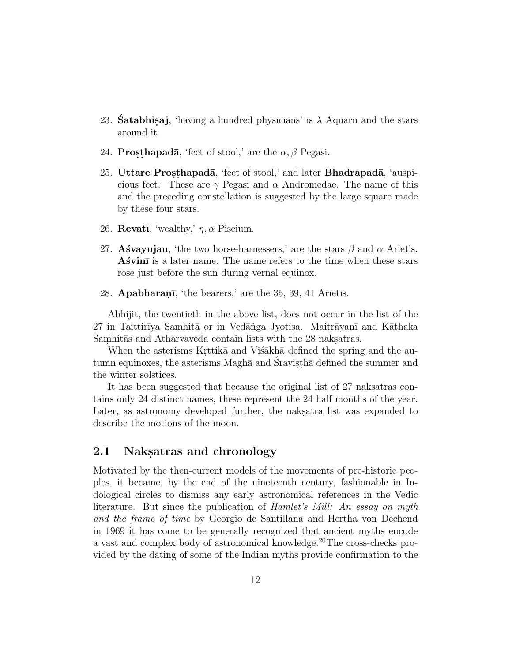- 23. **Satabhisa**, 'having a hundred physicians' is  $\lambda$  Aquarii and the stars around it.
- 24. **Prosthapadā**, 'feet of stool,' are the  $\alpha$ ,  $\beta$  Pegasi.
- 25. **Uttare Prosthapadā**, 'feet of stool,' and later **Bhadrapadā**, 'auspicious feet.' These are  $\gamma$  Pegasi and  $\alpha$  Andromedae. The name of this and the preceding constellation is suggested by the large square made by these four stars.
- 26. **Revatī**, 'wealthy,'  $\eta$ ,  $\alpha$  Piscium.
- 27. **Asvayujau**, 'the two horse-harnessers,' are the stars  $\beta$  and  $\alpha$  Arietis. Asvin<sub>i</sub> is a later name. The name refers to the time when these stars rose just before the sun during vernal equinox.
- 28. **Apabharani**, 'the bearers,' are the 35, 39, 41 Arietis.

Abhijit, the twentieth in the above list, does not occur in the list of the 27 in Taittirīya Samhitā or in Vedānga Jyotisa. Maitrāyanī and Kāthaka Samhitās and Atharvaveda contain lists with the 28 naks.

When the asterisms Krttika and Visakha defined the spring and the autumn equinoxes, the asterisms Magha and Sravistha defined the summer and the winter solstices.

It has been suggested that because the original list of 27 naks atras contains only 24 distinct names, these represent the 24 half months of the year. Later, as astronomy developed further, the nakes at list was expanded to describe the motions of the moon.

### **2.1 Naksatras and chronology**

Motivated by the then-current models of the movements of pre-historic peoples, it became, by the end of the nineteenth century, fashionable in Indological circles to dismiss any early astronomical references in the Vedic literature. But since the publication of Hamlet's Mill: An essay on myth and the frame of time by Georgio de Santillana and Hertha von Dechend in 1969 it has come to be generally recognized that ancient myths encode a vast and complex body of astronomical knowledge.<sup>20</sup>The cross-checks provided by the dating of some of the Indian myths provide confirmation to the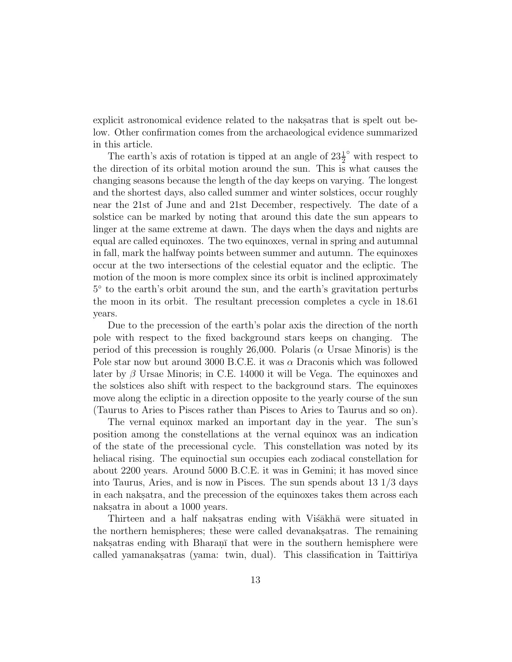explicit astronomical evidence related to the naksatras that is spelt out below. Other confirmation comes from the archaeological evidence summarized in this article.

The earth's axis of rotation is tipped at an angle of  $23\frac{1}{2}^{\circ}$  with respect to the direction of its orbital motion around the sun. This is what causes the changing seasons because the length of the day keeps on varying. The longest and the shortest days, also called summer and winter solstices, occur roughly near the 21st of June and and 21st December, respectively. The date of a solstice can be marked by noting that around this date the sun appears to linger at the same extreme at dawn. The days when the days and nights are equal are called equinoxes. The two equinoxes, vernal in spring and autumnal in fall, mark the halfway points between summer and autumn. The equinoxes occur at the two intersections of the celestial equator and the ecliptic. The motion of the moon is more complex since its orbit is inclined approximately 5◦ to the earth's orbit around the sun, and the earth's gravitation perturbs the moon in its orbit. The resultant precession completes a cycle in 18.61 years.

Due to the precession of the earth's polar axis the direction of the north pole with respect to the fixed background stars keeps on changing. The period of this precession is roughly 26,000. Polaris ( $\alpha$  Ursae Minoris) is the Pole star now but around 3000 B.C.E. it was  $\alpha$  Draconis which was followed later by  $\beta$  Ursae Minoris; in C.E. 14000 it will be Vega. The equinoxes and the solstices also shift with respect to the background stars. The equinoxes move along the ecliptic in a direction opposite to the yearly course of the sun (Taurus to Aries to Pisces rather than Pisces to Aries to Taurus and so on).

The vernal equinox marked an important day in the year. The sun's position among the constellations at the vernal equinox was an indication of the state of the precessional cycle. This constellation was noted by its heliacal rising. The equinoctial sun occupies each zodiacal constellation for about 2200 years. Around 5000 B.C.E. it was in Gemini; it has moved since into Taurus, Aries, and is now in Pisces. The sun spends about 13 1/3 days in each nakstara, and the precession of the equinoxes takes them across each naksatra in about a 1000 years.

Thirteen and a half naksatras ending with Vistakha were situated in the northern hemispheres; these were called devanak satras. The remaining naks. That were in the southern hemisphere were in the southern hemisphere were called yamanaksatras (yama: twin, dual). This classification in Taittir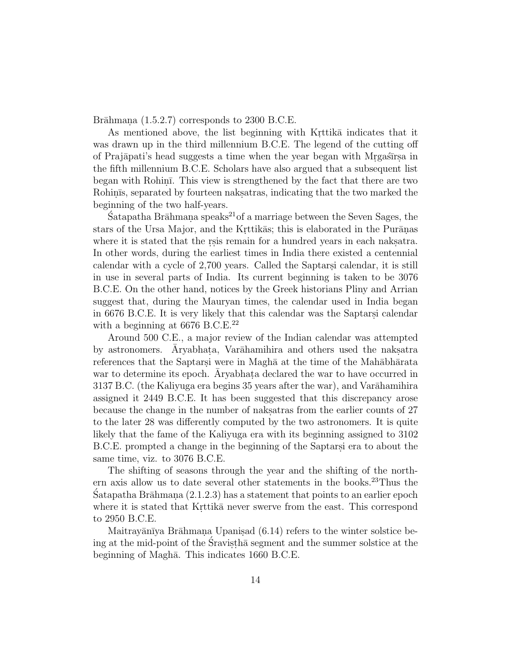Brāhmana  $(1.5.2.7)$  corresponds to 2300 B.C.E.

As mentioned above, the list beginning with Krittika indicates that it was drawn up in the third millennium B.C.E. The legend of the cutting off of Prajāpati's head suggests a time when the year began with Mrgastrisa in the fifth millennium B.C.E. Scholars have also argued that a subsequent list began with Rohin. This view is strengthened by the fact that there are two Rohinis, separated by fourteen naksatras, indicating that the two marked the beginning of the two half-years.

 $\hat{\text{S}}$  atapatha Brāhmana speaks<sup>21</sup> of a marriage between the Seven Sages, the stars of the Ursa Major, and the Krttikas; this is elaborated in the Puranas. where it is stated that the resis remain for a hundred years in each nakes at all  $\alpha$ . In other words, during the earliest times in India there existed a centennial calendar with a cycle of 2,700 years. Called the Saptarsi calendar, it is still in use in several parts of India. Its current beginning is taken to be 3076 B.C.E. On the other hand, notices by the Greek historians Pliny and Arrian suggest that, during the Mauryan times, the calendar used in India began in 6676 B.C.E. It is very likely that this calendar was the Saptarsi calendar with a beginning at  $6676$  B.C.E.<sup>22</sup>

Around 500 C.E., a major review of the Indian calendar was attempted by astronomers. Aryabhata, Varāhamihira and others used the naksatra references that the Saptarsi were in Magha at the time of the Mahabharata war to determine its epoch. Aryabhata declared the war to have occurred in 3137 B.C. (the Kaliyuga era begins 35 years after the war), and Varāhamihira assigned it 2449 B.C.E. It has been suggested that this discrepancy arose because the change in the number of naksatras from the earlier counts of 27 to the later 28 was differently computed by the two astronomers. It is quite likely that the fame of the Kaliyuga era with its beginning assigned to 3102 B.C.E. prompted a change in the beginning of the Saptarsi era to about the same time, viz. to 3076 B.C.E.

The shifting of seasons through the year and the shifting of the northern axis allow us to date several other statements in the books.<sup>23</sup>Thus the Satapatha Brāhmana  $(2.1.2.3)$  has a statement that points to an earlier epoch where it is stated that Krittika never swerve from the east. This correspond to 2950 B.C.E.

Maitrayānīya Brāhmana Upanisad (6.14) refers to the winter solstice being at the mid-point of the Sravistha segment and the summer solstice at the beginning of Maghā. This indicates 1660 B.C.E.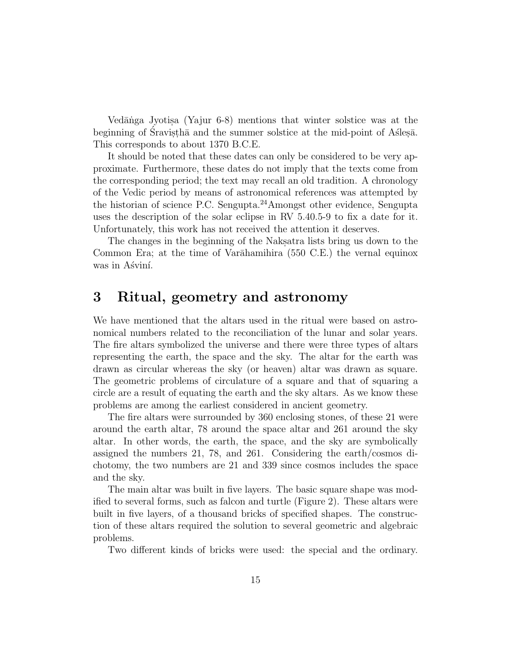Vedānga Jyotisa (Yajur 6-8) mentions that winter solstice was at the beginning of Sravistha and the summer solstice at the mid-point of Aslesa. This corresponds to about 1370 B.C.E.

It should be noted that these dates can only be considered to be very approximate. Furthermore, these dates do not imply that the texts come from the corresponding period; the text may recall an old tradition. A chronology of the Vedic period by means of astronomical references was attempted by the historian of science P.C. Sengupta.<sup>24</sup>Amongst other evidence, Sengupta uses the description of the solar eclipse in RV 5.40.5-9 to fix a date for it. Unfortunately, this work has not received the attention it deserves.

The changes in the beginning of the Naksatra lists bring us down to the Common Era; at the time of Varāhamihira  $(550 \text{ C.E.})$  the vernal equinox was in Asvini.

## **3 Ritual, geometry and astronomy**

We have mentioned that the altars used in the ritual were based on astronomical numbers related to the reconciliation of the lunar and solar years. The fire altars symbolized the universe and there were three types of altars representing the earth, the space and the sky. The altar for the earth was drawn as circular whereas the sky (or heaven) altar was drawn as square. The geometric problems of circulature of a square and that of squaring a circle are a result of equating the earth and the sky altars. As we know these problems are among the earliest considered in ancient geometry.

The fire altars were surrounded by 360 enclosing stones, of these 21 were around the earth altar, 78 around the space altar and 261 around the sky altar. In other words, the earth, the space, and the sky are symbolically assigned the numbers 21, 78, and 261. Considering the earth/cosmos dichotomy, the two numbers are 21 and 339 since cosmos includes the space and the sky.

The main altar was built in five layers. The basic square shape was modified to several forms, such as falcon and turtle (Figure 2). These altars were built in five layers, of a thousand bricks of specified shapes. The construction of these altars required the solution to several geometric and algebraic problems.

Two different kinds of bricks were used: the special and the ordinary.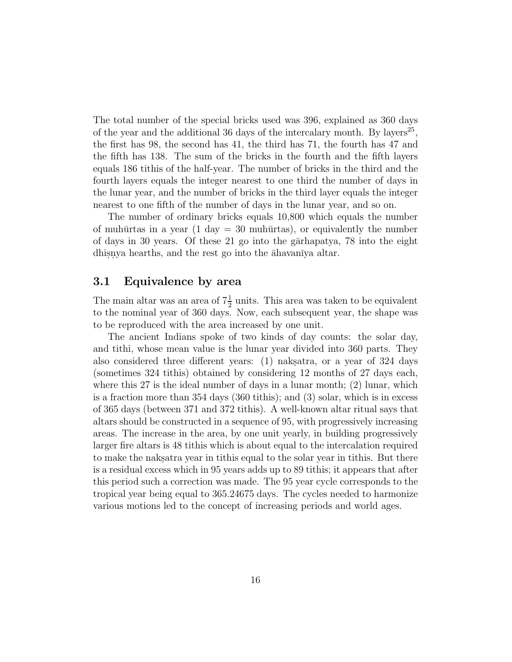The total number of the special bricks used was 396, explained as 360 days of the year and the additional 36 days of the intercalary month. By layers<sup>25</sup>, the first has 98, the second has 41, the third has 71, the fourth has 47 and the fifth has 138. The sum of the bricks in the fourth and the fifth layers equals 186 tithis of the half-year. The number of bricks in the third and the fourth layers equals the integer nearest to one third the number of days in the lunar year, and the number of bricks in the third layer equals the integer nearest to one fifth of the number of days in the lunar year, and so on.

The number of ordinary bricks equals 10,800 which equals the number of muhūrtas in a year (1 day  $=$  30 muhūrtas), or equivalently the number of days in 30 years. Of these 21 go into the garaapatya, 78 into the eight dhisnya hearths, and the rest go into the  $\alpha$ havanīya altar.

### **3.1 Equivalence by area**

The main altar was an area of  $7\frac{1}{2}$  units. This area was taken to be equivalent to the nominal year of 360 days. Now, each subsequent year, the shape was to be reproduced with the area increased by one unit.

The ancient Indians spoke of two kinds of day counts: the solar day, and tithi, whose mean value is the lunar year divided into 360 parts. They also considered three different years:  $(1)$  nakstra, or a year of 324 days (sometimes 324 tithis) obtained by considering 12 months of 27 days each, where this 27 is the ideal number of days in a lunar month; (2) lunar, which is a fraction more than 354 days (360 tithis); and (3) solar, which is in excess of 365 days (between 371 and 372 tithis). A well-known altar ritual says that altars should be constructed in a sequence of 95, with progressively increasing areas. The increase in the area, by one unit yearly, in building progressively larger fire altars is 48 tithis which is about equal to the intercalation required to make the naks atractation is titled to the solar year in titles. But there is a residual excess which in 95 years adds up to 89 tithis; it appears that after this period such a correction was made. The 95 year cycle corresponds to the tropical year being equal to 365.24675 days. The cycles needed to harmonize various motions led to the concept of increasing periods and world ages.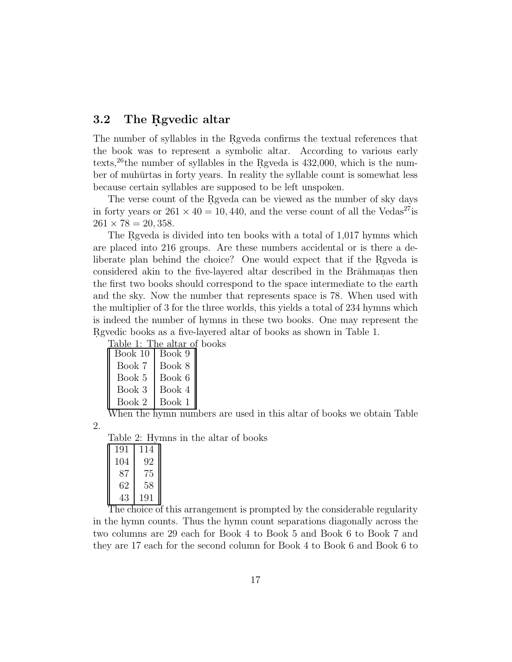### **3.2** The Rgvedic altar

The number of syllables in the Rgyeda confirms the textual references that the book was to represent a symbolic altar. According to various early texts,<sup>26</sup>the number of syllables in the Rgveda is  $432,000$ , which is the number of muhūrtas in forty years. In reality the syllable count is somewhat less because certain syllables are supposed to be left unspoken.

The verse count of the Rgveda can be viewed as the number of sky days in forty years or  $261 \times 40 = 10,440$ , and the verse count of all the Vedas<sup>27</sup>is  $261 \times 78 = 20,358.$ 

The Reveda is divided into ten books with a total of  $1,017$  hymns which are placed into 216 groups. Are these numbers accidental or is there a deliberate plan behind the choice? One would expect that if the Regueda is considered akin to the five-layered altar described in the Brahmanas then the first two books should correspond to the space intermediate to the earth and the sky. Now the number that represents space is 78. When used with the multiplier of 3 for the three worlds, this yields a total of 234 hymns which is indeed the number of hymns in these two books. One may represent the Revedic books as a five-layered altar of books as shown in Table 1.

Table 1: The altar of books

| Book 9 |
|--------|
| Book 8 |
| Book 6 |
| Book 4 |
| Book 1 |
|        |

When the hymn numbers are used in this altar of books we obtain Table 2.

Table 2: Hymns in the altar of books

| 191 | 114 |
|-----|-----|
| 104 | 92  |
| 87  | 75  |
| 62  | 58  |
| 43  | 191 |
|     |     |

The choice of this arrangement is prompted by the considerable regularity in the hymn counts. Thus the hymn count separations diagonally across the two columns are 29 each for Book 4 to Book 5 and Book 6 to Book 7 and they are 17 each for the second column for Book 4 to Book 6 and Book 6 to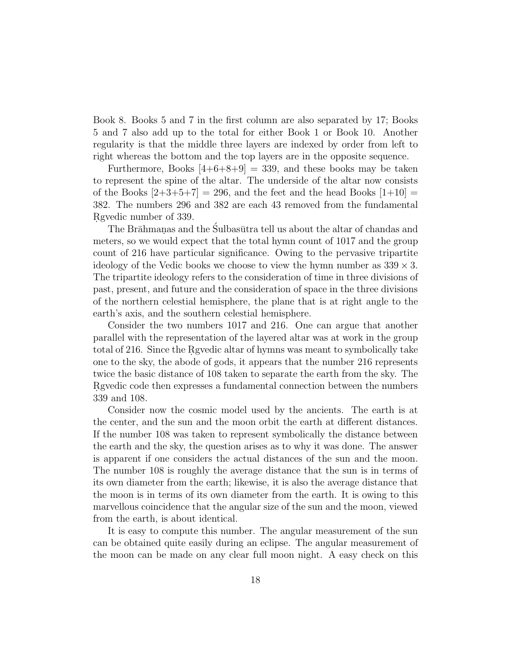Book 8. Books 5 and 7 in the first column are also separated by 17; Books 5 and 7 also add up to the total for either Book 1 or Book 10. Another regularity is that the middle three layers are indexed by order from left to right whereas the bottom and the top layers are in the opposite sequence.

Furthermore, Books  $[4+6+8+9] = 339$ , and these books may be taken to represent the spine of the altar. The underside of the altar now consists of the Books  $\left|2+3+5+7\right|=296$ , and the feet and the head Books  $\left|1+10\right|=$ 382. The numbers 296 and 382 are each 43 removed from the fundamental Rgvedic number of 339.

The Brāhmanas and the Sulbasūtra tell us about the altar of chandas and meters, so we would expect that the total hymn count of 1017 and the group count of 216 have particular significance. Owing to the pervasive tripartite ideology of the Vedic books we choose to view the hymn number as  $339 \times 3$ . The tripartite ideology refers to the consideration of time in three divisions of past, present, and future and the consideration of space in the three divisions of the northern celestial hemisphere, the plane that is at right angle to the earth's axis, and the southern celestial hemisphere.

Consider the two numbers 1017 and 216. One can argue that another parallel with the representation of the layered altar was at work in the group total of 216. Since the Rgyedic altar of hymns was meant to symbolically take one to the sky, the abode of gods, it appears that the number 216 represents twice the basic distance of 108 taken to separate the earth from the sky. The Reguedic code then expresses a fundamental connection between the numbers 339 and 108.

Consider now the cosmic model used by the ancients. The earth is at the center, and the sun and the moon orbit the earth at different distances. If the number 108 was taken to represent symbolically the distance between the earth and the sky, the question arises as to why it was done. The answer is apparent if one considers the actual distances of the sun and the moon. The number 108 is roughly the average distance that the sun is in terms of its own diameter from the earth; likewise, it is also the average distance that the moon is in terms of its own diameter from the earth. It is owing to this marvellous coincidence that the angular size of the sun and the moon, viewed from the earth, is about identical.

It is easy to compute this number. The angular measurement of the sun can be obtained quite easily during an eclipse. The angular measurement of the moon can be made on any clear full moon night. A easy check on this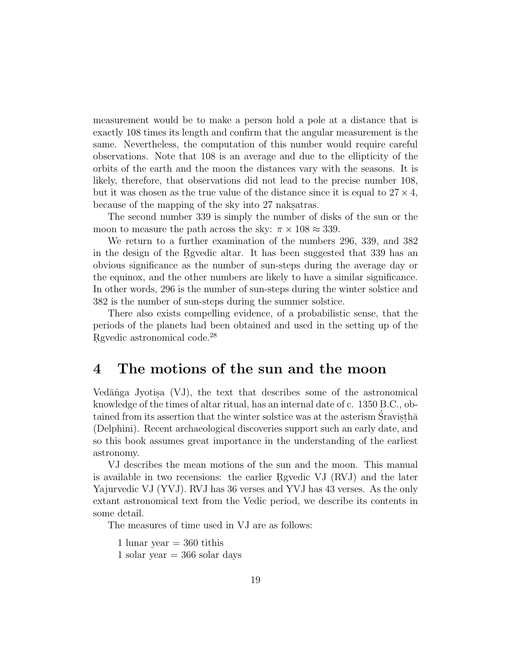measurement would be to make a person hold a pole at a distance that is exactly 108 times its length and confirm that the angular measurement is the same. Nevertheless, the computation of this number would require careful observations. Note that 108 is an average and due to the ellipticity of the orbits of the earth and the moon the distances vary with the seasons. It is likely, therefore, that observations did not lead to the precise number 108, but it was chosen as the true value of the distance since it is equal to  $27 \times 4$ , because of the mapping of the sky into 27 nakes at the sky into 27 nakes.

The second number 339 is simply the number of disks of the sun or the moon to measure the path across the sky:  $\pi \times 108 \approx 339$ .

We return to a further examination of the numbers 296, 339, and 382 in the design of the Revedic altar. It has been suggested that 339 has an obvious significance as the number of sun-steps during the average day or the equinox, and the other numbers are likely to have a similar significance. In other words, 296 is the number of sun-steps during the winter solstice and 382 is the number of sun-steps during the summer solstice.

There also exists compelling evidence, of a probabilistic sense, that the periods of the planets had been obtained and used in the setting up of the Rgvedic astronomical code.<sup>28</sup>

## **4 The motions of the sun and the moon**

Ved $\bar{a}$ nga Jyotisa (VJ), the text that describes some of the astronomical knowledge of the times of altar ritual, has an internal date of c. 1350 B.C., obtained from its assertion that the winter solstice was at the asterism Sravisth $\bar{a}$ (Delphini). Recent archaeological discoveries support such an early date, and so this book assumes great importance in the understanding of the earliest astronomy.

VJ describes the mean motions of the sun and the moon. This manual is available in two recensions: the earlier Rgvedic VJ  $(RVJ)$  and the later Yajurvedic VJ (YVJ). RVJ has 36 verses and YVJ has 43 verses. As the only extant astronomical text from the Vedic period, we describe its contents in some detail.

The measures of time used in VJ are as follows:

1 lunar year  $=$  360 tithis 1 solar year  $=$  366 solar days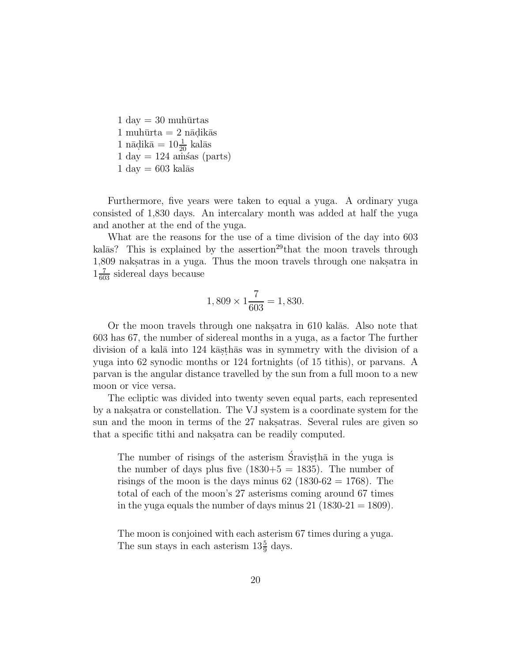$1 \text{ day} = 30 \text{ muhūrtas}$  $1 \text{ muhūrta} = 2 \text{ nādikās}$  $1$  nādikā =  $10\frac{1}{20}$  kalās  $1 \text{ day} = 124 \text{ amšas (parts)}$  $1 \text{ day} = 603 \text{ kalās}$ 

Furthermore, five years were taken to equal a yuga. A ordinary yuga consisted of 1,830 days. An intercalary month was added at half the yuga and another at the end of the yuga.

What are the reasons for the use of a time division of the day into 603 kal $\bar{a}$ s? This is explained by the assertion<sup>29</sup>that the moon travels through 1,809 naksatras in a yuga. Thus the moon travels through one naksatra in  $1\frac{7}{603}$  sidereal days because

$$
1,809 \times 1 \frac{7}{603} = 1,830.
$$

Or the moon travels through one nakes at in  $610$  kal $\bar{a}$ s. Also note that 603 has 67, the number of sidereal months in a yuga, as a factor The further division of a kalā into 124 kās thās was in symmetry with the division of a yuga into 62 synodic months or 124 fortnights (of 15 tithis), or parvans. A parvan is the angular distance travelled by the sun from a full moon to a new moon or vice versa.

The ecliptic was divided into twenty seven equal parts, each represented by a naksatra or constellation. The VJ system is a coordinate system for the sun and the moon in terms of the 27 naks atras. Several rules are given so that a specific tithi and nakes at a specific tithi and nakes are peakily computed.

The number of risings of the asterism Sravisth $\bar{a}$  in the yuga is the number of days plus five  $(1830+5 = 1835)$ . The number of risings of the moon is the days minus  $62$  (1830- $62 = 1768$ ). The total of each of the moon's 27 asterisms coming around 67 times in the yuga equals the number of days minus  $21$  (1830-21 = 1809).

The moon is conjoined with each asterism 67 times during a yuga. The sun stays in each asterism  $13\frac{5}{9}$  days.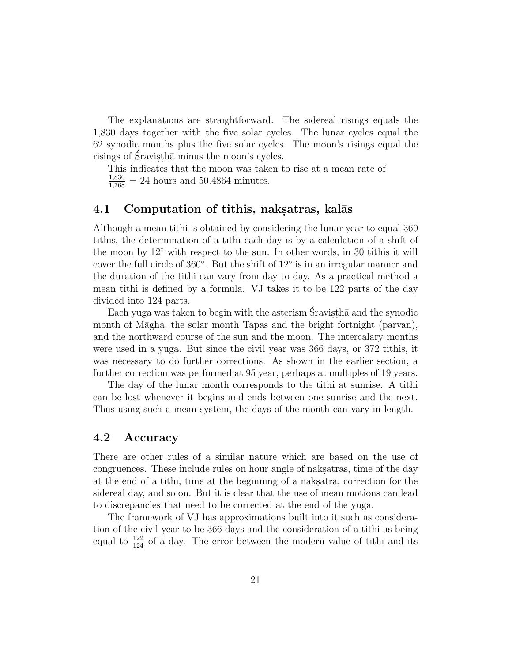The explanations are straightforward. The sidereal risings equals the 1,830 days together with the five solar cycles. The lunar cycles equal the 62 synodic months plus the five solar cycles. The moon's risings equal the risings of Sravistha minus the moon's cycles.

This indicates that the moon was taken to rise at a mean rate of  $\frac{1,830}{1,768} = 24$  hours and 50.4864 minutes.

#### **4.1 Computation of tithis, naksatras, kalās**

Although a mean tithi is obtained by considering the lunar year to equal 360 tithis, the determination of a tithi each day is by a calculation of a shift of the moon by 12◦ with respect to the sun. In other words, in 30 tithis it will cover the full circle of 360◦. But the shift of 12◦ is in an irregular manner and the duration of the tithi can vary from day to day. As a practical method a mean tithi is defined by a formula. VJ takes it to be 122 parts of the day divided into 124 parts.

Each yuga was taken to begin with the asterism Sravistha and the synodic month of Māgha, the solar month Tapas and the bright fortnight (parvan), and the northward course of the sun and the moon. The intercalary months were used in a yuga. But since the civil year was 366 days, or 372 tithis, it was necessary to do further corrections. As shown in the earlier section, a further correction was performed at 95 year, perhaps at multiples of 19 years.

The day of the lunar month corresponds to the tithi at sunrise. A tithi can be lost whenever it begins and ends between one sunrise and the next. Thus using such a mean system, the days of the month can vary in length.

#### **4.2 Accuracy**

There are other rules of a similar nature which are based on the use of congruences. These include rules on hour angle of naksatras, time of the day at the end of a tithi, time at the beginning of a nakes atra, correction for the sidereal day, and so on. But it is clear that the use of mean motions can lead to discrepancies that need to be corrected at the end of the yuga.

The framework of VJ has approximations built into it such as consideration of the civil year to be 366 days and the consideration of a tithi as being equal to  $\frac{122}{124}$  of a day. The error between the modern value of tithi and its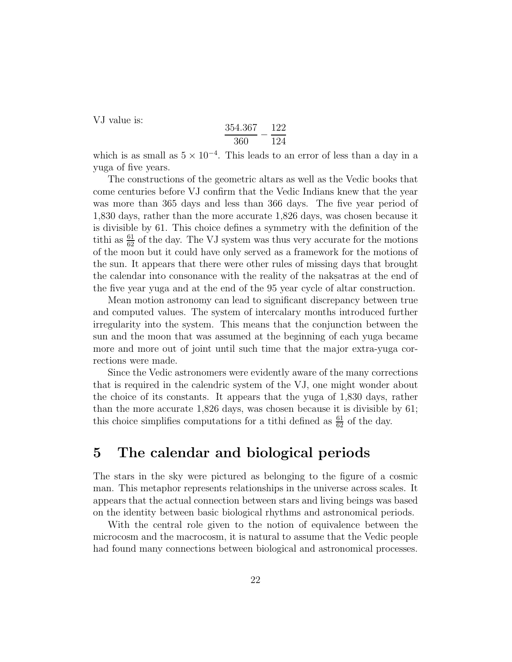VJ value is:

$$
\frac{354.367}{360} - \frac{122}{124}
$$

which is as small as  $5 \times 10^{-4}$ . This leads to an error of less than a day in a yuga of five years.

The constructions of the geometric altars as well as the Vedic books that come centuries before VJ confirm that the Vedic Indians knew that the year was more than 365 days and less than 366 days. The five year period of 1,830 days, rather than the more accurate 1,826 days, was chosen because it is divisible by 61. This choice defines a symmetry with the definition of the tithi as  $\frac{61}{62}$  of the day. The VJ system was thus very accurate for the motions of the moon but it could have only served as a framework for the motions of the sun. It appears that there were other rules of missing days that brought the calendar into consonance with the reality of the nakes at the end of the five year yuga and at the end of the 95 year cycle of altar construction.

Mean motion astronomy can lead to significant discrepancy between true and computed values. The system of intercalary months introduced further irregularity into the system. This means that the conjunction between the sun and the moon that was assumed at the beginning of each yuga became more and more out of joint until such time that the major extra-yuga corrections were made.

Since the Vedic astronomers were evidently aware of the many corrections that is required in the calendric system of the VJ, one might wonder about the choice of its constants. It appears that the yuga of 1,830 days, rather than the more accurate 1,826 days, was chosen because it is divisible by 61; this choice simplifies computations for a tithi defined as  $\frac{61}{62}$  of the day.

## **5 The calendar and biological periods**

The stars in the sky were pictured as belonging to the figure of a cosmic man. This metaphor represents relationships in the universe across scales. It appears that the actual connection between stars and living beings was based on the identity between basic biological rhythms and astronomical periods.

With the central role given to the notion of equivalence between the microcosm and the macrocosm, it is natural to assume that the Vedic people had found many connections between biological and astronomical processes.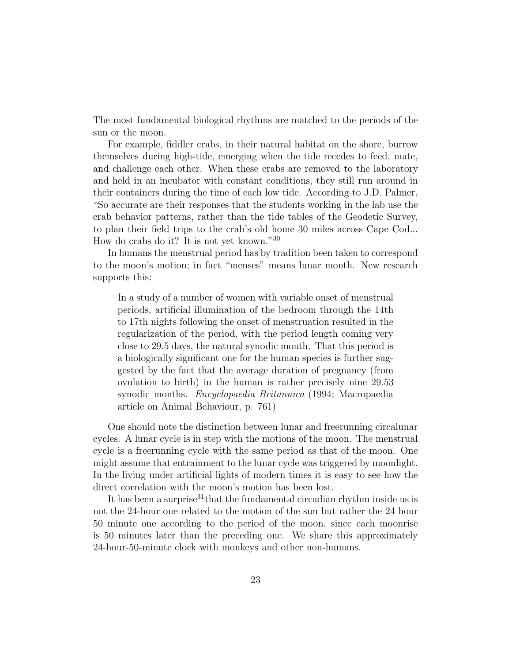The most fundamental biological rhythms are matched to the periods of the sun or the moon.

For example, fiddler crabs, in their natural habitat on the shore, burrow themselves during high-tide, emerging when the tide recedes to feed, mate, and challenge each other. When these crabs are removed to the laboratory and held in an incubator with constant conditions, they still run around in their containers during the time of each low tide. According to J.D. Palmer, "So accurate are their responses that the students working in the lab use the crab behavior patterns, rather than the tide tables of the Geodetic Survey, to plan their field trips to the crab's old home 30 miles across Cape Cod... How do crabs do it? It is not yet known."<sup>30</sup>

In humans the menstrual period has by tradition been taken to correspond to the moon's motion; in fact "menses" means lunar month. New research supports this:

In a study of a number of women with variable onset of menstrual periods, artificial illumination of the bedroom through the 14th to 17th nights following the onset of menstruation resulted in the regularization of the period, with the period length coming very close to 29.5 days, the natural synodic month. That this period is a biologically significant one for the human species is further suggested by the fact that the average duration of pregnancy (from ovulation to birth) in the human is rather precisely nine 29.53 synodic months. *Encyclopaedia Britannica* (1994; Macropaedia article on Animal Behaviour, p. 761)

One should note the distinction between lunar and freerunning circalunar cycles. A lunar cycle is in step with the motions of the moon. The menstrual cycle is a freerunning cycle with the same period as that of the moon. One might assume that entrainment to the lunar cycle was triggered by moonlight. In the living under artificial lights of modern times it is easy to see how the direct correlation with the moon's motion has been lost.

It has been a surprise<sup>31</sup> that the fundamental circadian rhythm inside us is not the 24-hour one related to the motion of the sun but rather the 24 hour 50 minute one according to the period of the moon, since each moonrise is 50 minutes later than the preceding one. We share this approximately 24-hour-50-minute clock with monkeys and other non-humans.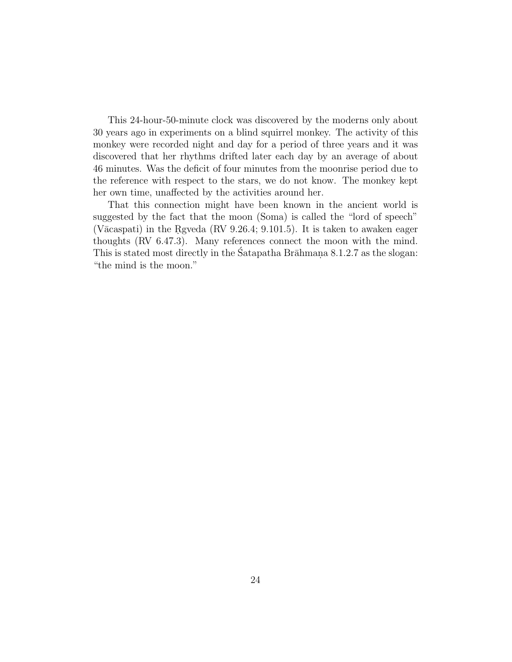This 24-hour-50-minute clock was discovered by the moderns only about 30 years ago in experiments on a blind squirrel monkey. The activity of this monkey were recorded night and day for a period of three years and it was discovered that her rhythms drifted later each day by an average of about 46 minutes. Was the deficit of four minutes from the moonrise period due to the reference with respect to the stars, we do not know. The monkey kept her own time, unaffected by the activities around her.

That this connection might have been known in the ancient world is suggested by the fact that the moon (Soma) is called the "lord of speech" (V $\bar{a}$ caspati) in the Rgveda (RV 9.26.4; 9.101.5). It is taken to awaken eager thoughts (RV 6.47.3). Many references connect the moon with the mind. This is stated most directly in the Satapatha Br $\bar{a}$ hmana 8.1.2.7 as the slogan: "the mind is the moon."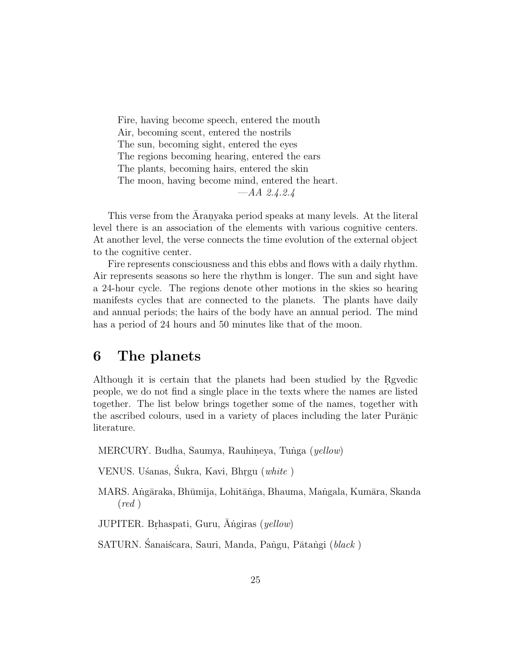Fire, having become speech, entered the mouth Air, becoming scent, entered the nostrils The sun, becoming sight, entered the eyes The regions becoming hearing, entered the ears The plants, becoming hairs, entered the skin The moon, having become mind, entered the heart. —AA 2.4.2.4

This verse from the Aranyaka period speaks at many levels. At the literal level there is an association of the elements with various cognitive centers. At another level, the verse connects the time evolution of the external object to the cognitive center.

Fire represents consciousness and this ebbs and flows with a daily rhythm. Air represents seasons so here the rhythm is longer. The sun and sight have a 24-hour cycle. The regions denote other motions in the skies so hearing manifests cycles that are connected to the planets. The plants have daily and annual periods; the hairs of the body have an annual period. The mind has a period of 24 hours and 50 minutes like that of the moon.

## **6 The planets**

Although it is certain that the planets had been studied by the Reguedic people, we do not find a single place in the texts where the names are listed together. The list below brings together some of the names, together with the ascribed colours, used in a variety of places including the later Puranic literature.

- MERCURY. Budha, Saumya, Rauhineya, Tunga (yellow)
- VENUS. Usanas, Sukra, Kavi, Bhrgu (white)
- MARS. Angāraka, Bhūmija, Lohitānga, Bhauma, Mangala, Kumāra, Skanda  $(\text{red})$

JUPITER. Brhaspati, Guru,  $\bar{A}$ ngiras (yellow)

SATURN. Sanaiścara, Sauri, Manda, Pangu, Pātangi (black)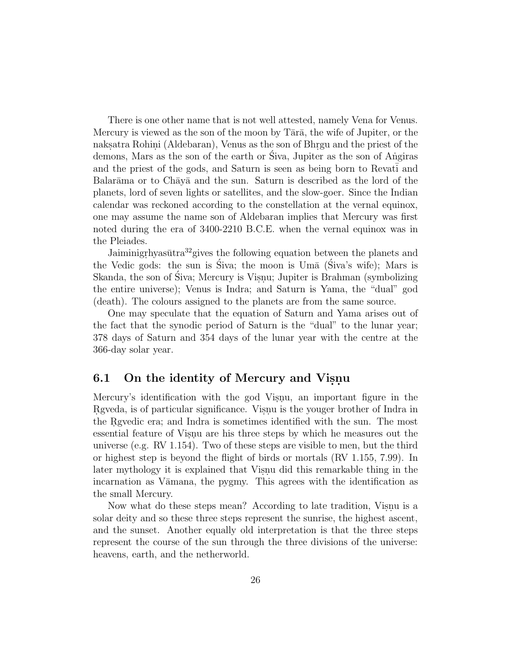There is one other name that is not well attested, namely Vena for Venus. Mercury is viewed as the son of the moon by  $T\bar{a}r\bar{a}$ , the wife of Jupiter, or the naks.atra Rohini (Aldebaran), Venus as the son of Bhr.gu and the priest of the demons, Mars as the son of the earth or Siva, Jupiter as the son of Angiras and the priest of the gods, and Saturn is seen as being born to Revati and Balar $\bar{a}$ ma or to Ch $\bar{a}$ y $\bar{a}$  and the sun. Saturn is described as the lord of the planets, lord of seven lights or satellites, and the slow-goer. Since the Indian calendar was reckoned according to the constellation at the vernal equinox, one may assume the name son of Aldebaran implies that Mercury was first noted during the era of 3400-2210 B.C.E. when the vernal equinox was in the Pleiades.

Jaiminigrhyas $\bar{u}$ tra $^{32}$ gives the following equation between the planets and the Vedic gods: the sun is Siva; the moon is  $U_m$ <sup> $\bar{a}$ </sup> (Siva's wife); Mars is Skanda, the son of Siva; Mercury is Visnu; Jupiter is Brahman (symbolizing) the entire universe); Venus is Indra; and Saturn is Yama, the "dual" god (death). The colours assigned to the planets are from the same source.

One may speculate that the equation of Saturn and Yama arises out of the fact that the synodic period of Saturn is the "dual" to the lunar year; 378 days of Saturn and 354 days of the lunar year with the centre at the 366-day solar year.

### **6.1** On the identity of Mercury and Visnu

Mercury's identification with the god Visnu, an important figure in the Regueda, is of particular significance. Visnu is the youger brother of Indra in the Reguedic era; and Indra is sometimes identified with the sun. The most essential feature of Visnu are his three steps by which he measures out the universe (e.g. RV 1.154). Two of these steps are visible to men, but the third or highest step is beyond the flight of birds or mortals (RV 1.155, 7.99). In later mythology it is explained that Visnu did this remarkable thing in the incarnation as Vāmana, the pygmy. This agrees with the identification as the small Mercury.

Now what do these steps mean? According to late tradition, Visnu is a solar deity and so these three steps represent the sunrise, the highest ascent, and the sunset. Another equally old interpretation is that the three steps represent the course of the sun through the three divisions of the universe: heavens, earth, and the netherworld.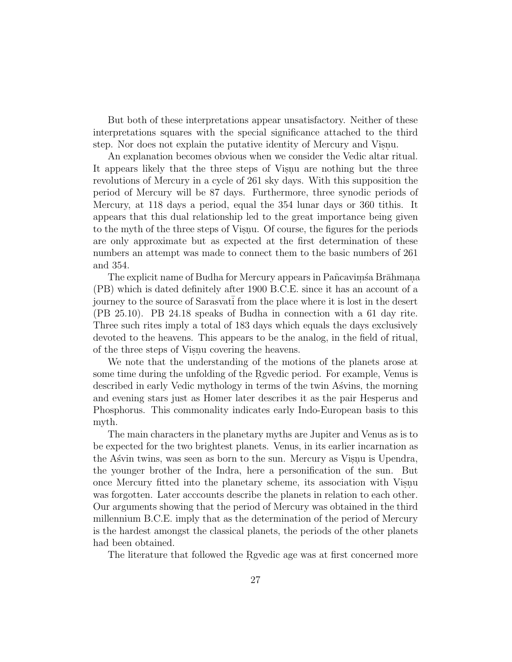But both of these interpretations appear unsatisfactory. Neither of these interpretations squares with the special significance attached to the third step. Nor does not explain the putative identity of Mercury and Visnu.

An explanation becomes obvious when we consider the Vedic altar ritual. It appears likely that the three steps of Visnu are nothing but the three revolutions of Mercury in a cycle of 261 sky days. With this supposition the period of Mercury will be 87 days. Furthermore, three synodic periods of Mercury, at 118 days a period, equal the 354 lunar days or 360 tithis. It appears that this dual relationship led to the great importance being given to the myth of the three steps of Visnu. Of course, the figures for the periods are only approximate but as expected at the first determination of these numbers an attempt was made to connect them to the basic numbers of 261 and 354.

The explicit name of Budha for Mercury appears in Pañcavims a Brāhmana. (PB) which is dated definitely after 1900 B.C.E. since it has an account of a journey to the source of Sarasvati from the place where it is lost in the desert (PB 25.10). PB 24.18 speaks of Budha in connection with a 61 day rite. Three such rites imply a total of 183 days which equals the days exclusively devoted to the heavens. This appears to be the analog, in the field of ritual, of the three steps of Visnu covering the heavens.

We note that the understanding of the motions of the planets arose at some time during the unfolding of the Rg vedic period. For example, Venus is described in early Vedic mythology in terms of the twin Asvins, the morning and evening stars just as Homer later describes it as the pair Hesperus and Phosphorus. This commonality indicates early Indo-European basis to this myth.

The main characters in the planetary myths are Jupiter and Venus as is to be expected for the two brightest planets. Venus, in its earlier incarnation as the Asvin twins, was seen as born to the sun. Mercury as Visnu is Upendra, the younger brother of the Indra, here a personification of the sun. But once Mercury fitted into the planetary scheme, its association with Visnu. was forgotten. Later acccounts describe the planets in relation to each other. Our arguments showing that the period of Mercury was obtained in the third millennium B.C.E. imply that as the determination of the period of Mercury is the hardest amongst the classical planets, the periods of the other planets had been obtained.

The literature that followed the Rgyedic age was at first concerned more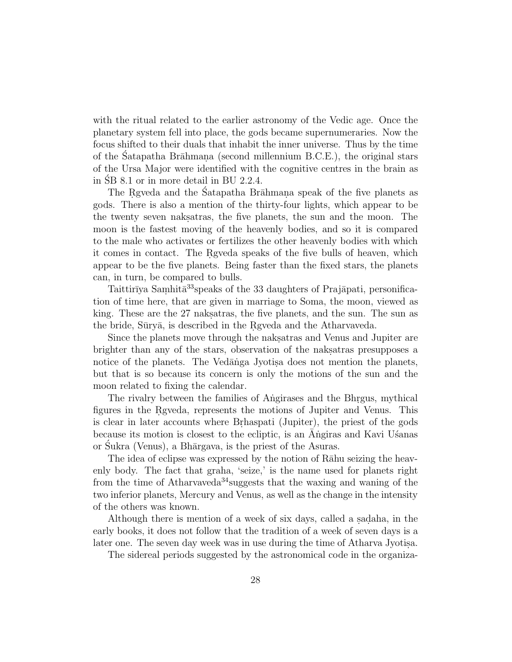with the ritual related to the earlier astronomy of the Vedic age. Once the planetary system fell into place, the gods became supernumeraries. Now the focus shifted to their duals that inhabit the inner universe. Thus by the time of the Satapatha Brāhmana (second millennium B.C.E.), the original stars of the Ursa Major were identified with the cognitive centres in the brain as in  $\overline{SB}$  8.1 or in more detail in BU 2.2.4.

The Regueda and the Satapatha Brahmana speak of the five planets as gods. There is also a mention of the thirty-four lights, which appear to be the twenty seven naksatras, the five planets, the sun and the moon. The moon is the fastest moving of the heavenly bodies, and so it is compared to the male who activates or fertilizes the other heavenly bodies with which it comes in contact. The Rg veda speaks of the five bulls of heaven, which appear to be the five planets. Being faster than the fixed stars, the planets can, in turn, be compared to bulls.

Taittirīya Samhitā<sup>33</sup>speaks of the 33 daughters of Prajāpati, personification of time here, that are given in marriage to Soma, the moon, viewed as king. These are the 27 naksternal the five planets, and the sun. The sun as the bride, Sūryā, is described in the Rgveda and the Atharvaveda.

Since the planets move through the nakes and Venus and Jupiter are brighter than any of the stars, observation of the naksatras presupposes a notice of the planets. The Vedānga Jyotisa does not mention the planets, but that is so because its concern is only the motions of the sun and the moon related to fixing the calendar.

The rivalry between the families of Angirases and the Bhrgus, mythical figures in the Reyeda, represents the motions of Jupiter and Venus. This is clear in later accounts where Brhaspati (Jupiter), the priest of the gods because its motion is closest to the ecliptic, is an Angiras and Kavi Usanas or Sukra (Venus), a Bhārgava, is the priest of the Asuras.

The idea of eclipse was expressed by the notion of Rāhu seizing the heavenly body. The fact that graha, 'seize,' is the name used for planets right from the time of Atharvaveda<sup>34</sup> suggests that the waxing and waning of the two inferior planets, Mercury and Venus, as well as the change in the intensity of the others was known.

Although there is mention of a week of six days, called a sadaha, in the early books, it does not follow that the tradition of a week of seven days is a later one. The seven day week was in use during the time of Atharva Jyotisa.

The sidereal periods suggested by the astronomical code in the organiza-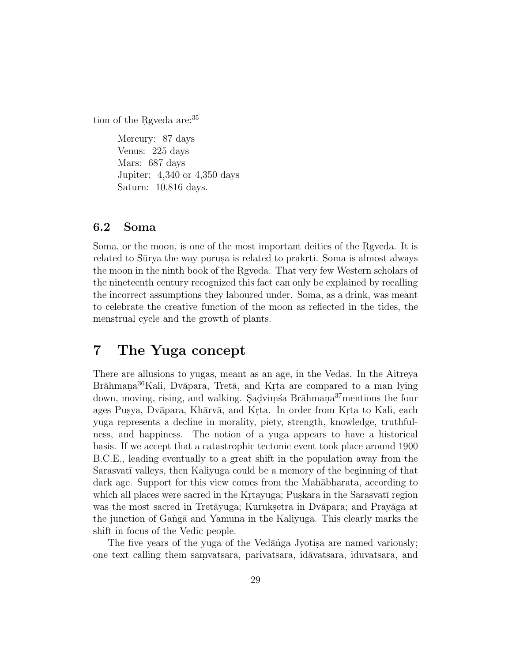tion of the Rgveda are: $35$ 

Mercury: 87 days Venus: 225 days Mars: 687 days Jupiter: 4,340 or 4,350 days Saturn: 10,816 days.

### **6.2 Soma**

Soma, or the moon, is one of the most important deities of the Reveda. It is related to Sūrya the way purus is related to prakrti. Soma is almost always the moon in the ninth book of the Rgyeda. That very few Western scholars of the nineteenth century recognized this fact can only be explained by recalling the incorrect assumptions they laboured under. Soma, as a drink, was meant to celebrate the creative function of the moon as reflected in the tides, the menstrual cycle and the growth of plants.

## **7 The Yuga concept**

There are allusions to yugas, meant as an age, in the Vedas. In the Aitreya Brāhmana<sup>36</sup>Kali, Dvāpara, Tretā, and Krta are compared to a man lying down, moving, rising, and walking. Sadvims a Brahmana<sup>37</sup>mentions the four ages Pusya, Dvāpara, Khārvā, and Krta. In order from Krta to Kali, each yuga represents a decline in morality, piety, strength, knowledge, truthfulness, and happiness. The notion of a yuga appears to have a historical basis. If we accept that a catastrophic tectonic event took place around 1900 B.C.E., leading eventually to a great shift in the population away from the Sarasvatī valleys, then Kaliyuga could be a memory of the beginning of that dark age. Support for this view comes from the Mah $\bar{a}$ bharata, according to which all places were sacred in the Krtayuga; Puskara in the Sarasvatī region was the most sacred in Tretāyuga; Kuruksetra in Dvāpara; and Prayāga at the junction of Ganga and Yamuna in the Kaliyuga. This clearly marks the shift in focus of the Vedic people.

The five years of the yuga of the Vedānga Jyotisa are named variously; one text calling them samvatsara, parivatsara, id $\bar{a}$ vatsara, iduvatsara, and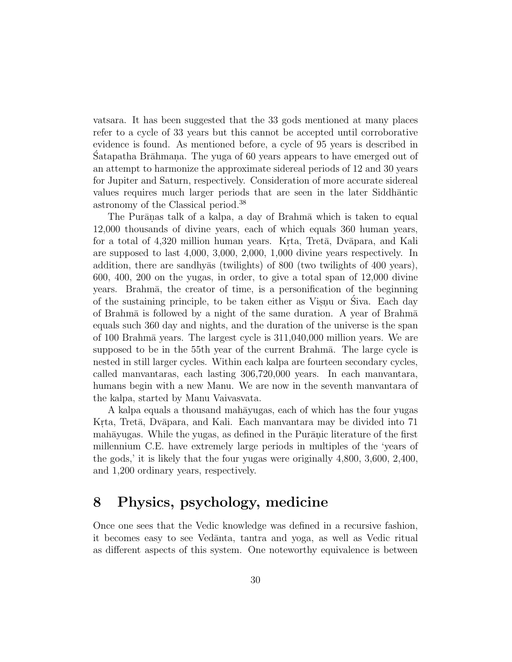vatsara. It has been suggested that the 33 gods mentioned at many places refer to a cycle of 33 years but this cannot be accepted until corroborative evidence is found. As mentioned before, a cycle of 95 years is described in Satapatha Brāhmana. The yuga of 60 years appears to have emerged out of an attempt to harmonize the approximate sidereal periods of 12 and 30 years for Jupiter and Saturn, respectively. Consideration of more accurate sidereal values requires much larger periods that are seen in the later Siddhantic astronomy of the Classical period.<sup>38</sup>

The Purānas talk of a kalpa, a day of Brahmā which is taken to equal 12,000 thousands of divine years, each of which equals 360 human years, for a total of 4,320 million human years. Krta, Treta, Dvapara, and Kali are supposed to last 4,000, 3,000, 2,000, 1,000 divine years respectively. In addition, there are sandhyas (twilights) of 800 (two twilights of 400 years), 600, 400, 200 on the yugas, in order, to give a total span of 12,000 divine years. Brahma, the creator of time, is a personification of the beginning of the sustaining principle, to be taken either as Visnu or Siva. Each day of Brahm $\bar{a}$  is followed by a night of the same duration. A year of Brahm $\bar{a}$ equals such 360 day and nights, and the duration of the universe is the span of 100 Brahmā years. The largest cycle is  $311,040,000$  million years. We are supposed to be in the 55th year of the current Brahma. The large cycle is nested in still larger cycles. Within each kalpa are fourteen secondary cycles, called manvantaras, each lasting 306,720,000 years. In each manvantara, humans begin with a new Manu. We are now in the seventh manvantara of the kalpa, started by Manu Vaivasvata.

A kalpa equals a thousand mahayugas, each of which has the four yugas Krta, Tretā, Dvāpara, and Kali. Each manvantara may be divided into 71 mahāyugas. While the yugas, as defined in the Purānic literature of the first millennium C.E. have extremely large periods in multiples of the 'years of the gods,' it is likely that the four yugas were originally 4,800, 3,600, 2,400, and 1,200 ordinary years, respectively.

## **8 Physics, psychology, medicine**

Once one sees that the Vedic knowledge was defined in a recursive fashion, it becomes easy to see Vedanta, tantra and yoga, as well as Vedic ritual as different aspects of this system. One noteworthy equivalence is between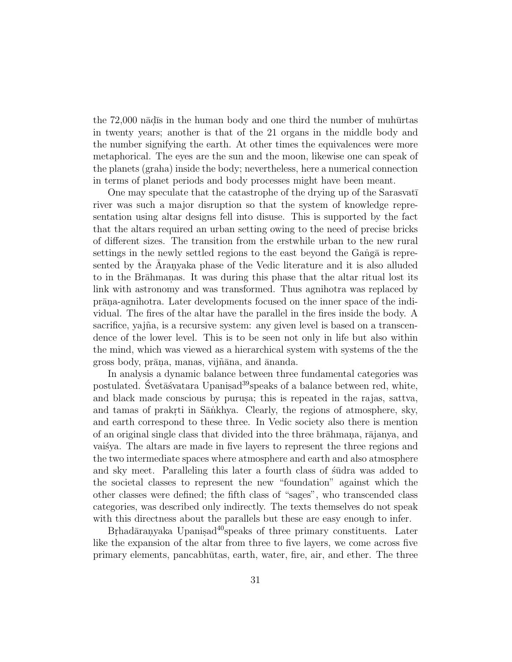the  $72,000$  n $\bar{a}$ d is in the human body and one third the number of muh $\bar{a}$ rtas in twenty years; another is that of the 21 organs in the middle body and the number signifying the earth. At other times the equivalences were more metaphorical. The eyes are the sun and the moon, likewise one can speak of the planets (graha) inside the body; nevertheless, here a numerical connection in terms of planet periods and body processes might have been meant.

One may speculate that the catastrophe of the drying up of the Sarasvati river was such a major disruption so that the system of knowledge representation using altar designs fell into disuse. This is supported by the fact that the altars required an urban setting owing to the need of precise bricks of different sizes. The transition from the erstwhile urban to the new rural settings in the newly settled regions to the east beyond the Gang $\bar{a}$  is represented by the Aranyaka phase of the Vedic literature and it is also alluded to in the Brāhmanas. It was during this phase that the altar ritual lost its link with astronomy and was transformed. Thus agnihotra was replaced by prāna-agnihotra. Later developments focused on the inner space of the individual. The fires of the altar have the parallel in the fires inside the body. A sacrifice, yajña, is a recursive system: any given level is based on a transcendence of the lower level. This is to be seen not only in life but also within the mind, which was viewed as a hierarchical system with systems of the the gross body, prāna, manas, vijñāna, and ānanda.

In analysis a dynamic balance between three fundamental categories was postulated. Svet $\bar{a}$  svatara Upanis $ad^{39}$ speaks of a balance between red, white, and black made conscious by purusa; this is repeated in the rajas, sattva, and tamas of prakrti in Sāntkhya. Clearly, the regions of atmosphere, sky, and earth correspond to these three. In Vedic society also there is mention of an original single class that divided into the three brahmana, rajanya, and vaisya. The altars are made in five layers to represent the three regions and the two intermediate spaces where atmosphere and earth and also atmosphere and sky meet. Paralleling this later a fourth class of studra was added to the societal classes to represent the new "foundation" against which the other classes were defined; the fifth class of "sages", who transcended class categories, was described only indirectly. The texts themselves do not speak with this directness about the parallels but these are easy enough to infer.

 $B$ rhad $\bar{a}$ ranyaka Upanis.ad<sup>40</sup>speaks of three primary constituents. Later like the expansion of the altar from three to five layers, we come across five primary elements, pancabhūtas, earth, water, fire, air, and ether. The three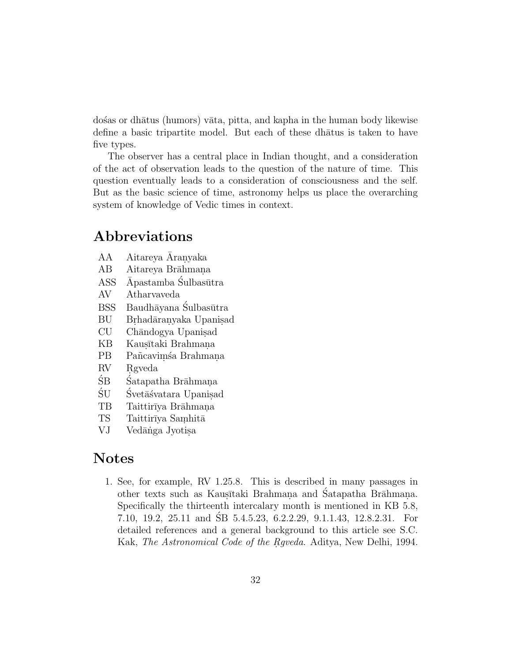do's as or dhātus (humors) vāta, pitta, and kapha in the human body likewise define a basic tripartite model. But each of these dhatus is taken to have five types.

The observer has a central place in Indian thought, and a consideration of the act of observation leads to the question of the nature of time. This question eventually leads to a consideration of consciousness and the self. But as the basic science of time, astronomy helps us place the overarching system of knowledge of Vedic times in context.

## **Abbreviations**

- $AA$  Aitareya Aranyaka
- AB Aitareya Brāhmana
- ASS  $\bar{A}$ pastamba Śulbasūtra
- AV Atharvaveda
- BSS Baudhāyana Śulbasūtra
- BU Brhadāranyaka Upanisad<br>CU Chāndogva Upanisad
- CU Chāndogya Upanisad<br>KB Kausītaki Brahmana
- KB Kausītaki Brahmana<br>PB Pañcavimśa Brahman
- PB Pañcaviṃśa Brahmaṇa<br>RV Rgveda
- RV Rgveda<br>SB Satapat
- ŠB Šatapatha Brāhmana<br>ŠU Švetāšvatara Upanisa
- ŠU Švetāšvatara Upanisad<br>TB Taittirīva Brāhmana
- TB Taittirīya Brāhmaņa<br>TS Taittirīya Samhitā
- Taittirīya Samhitā
- VJ Vedānga Jyotisa

## **Notes**

1. See, for example, RV 1.25.8. This is described in many passages in other texts such as Kaustaki Brahmana and Satapatha Brahmana. Specifically the thirteenth intercalary month is mentioned in KB 5.8, 7.10, 19.2, 25.11 and SB 5.4.5.23, 6.2.2.29, 9.1.1.43, 12.8.2.31. For ´ detailed references and a general background to this article see S.C. Kak, The Astronomical Code of the Rgveda. Aditya, New Delhi, 1994.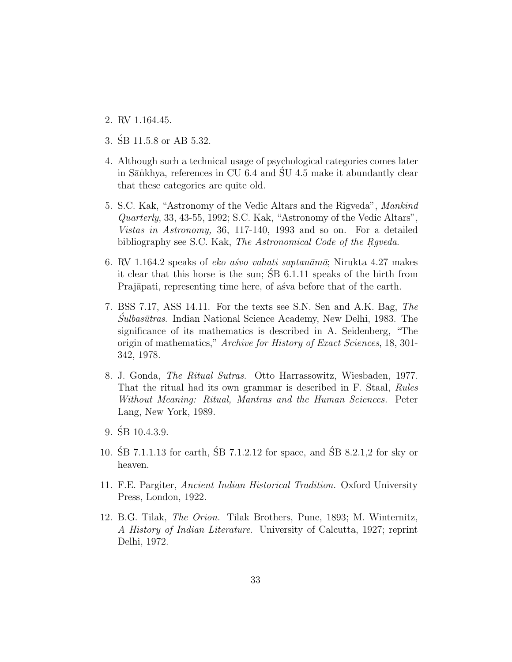- 2. RV 1.164.45.
- 3. SB 11.5.8 or AB 5.32.
- 4. Although such a technical usage of psychological categories comes later in S $\bar{a}$ nkhya, references in CU 6.4 and SU 4.5 make it abundantly clear that these categories are quite old.
- 5. S.C. Kak, "Astronomy of the Vedic Altars and the Rigveda", Mankind Quarterly, 33, 43-55, 1992; S.C. Kak, "Astronomy of the Vedic Altars", Vistas in Astronomy, 36, 117-140, 1993 and so on. For a detailed bibliography see S.C. Kak, The Astronomical Code of the Rgveda.
- 6. RV 1.164.2 speaks of eko as vahati saptan $\bar{a}$ ma $\bar{a}$ ; Nirukta 4.27 makes it clear that this horse is the sun;  $\overline{SB}$  6.1.11 speaks of the birth from Prajāpati, representing time here, of as va before that of the earth.
- 7. BSS 7.17, ASS 14.11. For the texts see S.N. Sen and A.K. Bag, The  $\hat{S}ulbasūtras.$  Indian National Science Academy, New Delhi, 1983. The significance of its mathematics is described in A. Seidenberg, "The origin of mathematics," Archive for History of Exact Sciences, 18, 301- 342, 1978.
- 8. J. Gonda, The Ritual Sutras. Otto Harrassowitz, Wiesbaden, 1977. That the ritual had its own grammar is described in F. Staal, Rules Without Meaning: Ritual, Mantras and the Human Sciences. Peter Lang, New York, 1989.
- $9. \ \mathrm{SB} \ 10.4.3.9.$
- 10.  $\angle$  SB 7.1.1.13 for earth,  $\angle$  SB 7.1.2.12 for space, and  $\angle$  SB 8.2.1.2 for sky or heaven.
- 11. F.E. Pargiter, Ancient Indian Historical Tradition. Oxford University Press, London, 1922.
- 12. B.G. Tilak, The Orion. Tilak Brothers, Pune, 1893; M. Winternitz, A History of Indian Literature. University of Calcutta, 1927; reprint Delhi, 1972.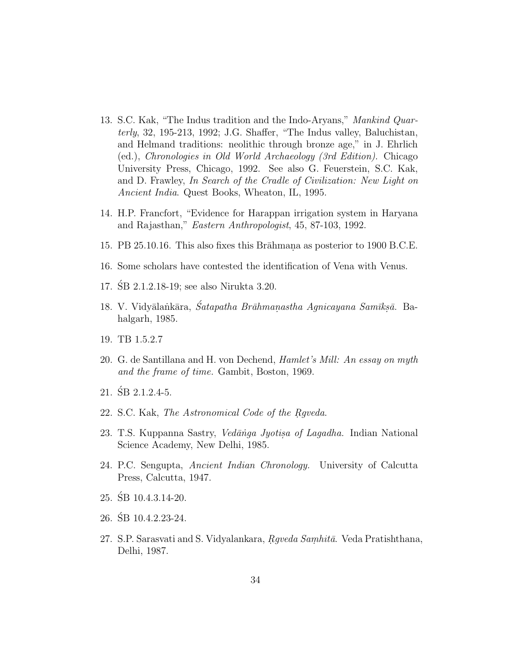- 13. S.C. Kak, "The Indus tradition and the Indo-Aryans," Mankind Quarterly, 32, 195-213, 1992; J.G. Shaffer, "The Indus valley, Baluchistan, and Helmand traditions: neolithic through bronze age," in J. Ehrlich (ed.), Chronologies in Old World Archaeology (3rd Edition). Chicago University Press, Chicago, 1992. See also G. Feuerstein, S.C. Kak, and D. Frawley, In Search of the Cradle of Civilization: New Light on Ancient India. Quest Books, Wheaton, IL, 1995.
- 14. H.P. Francfort, "Evidence for Harappan irrigation system in Haryana and Rajasthan," Eastern Anthropologist, 45, 87-103, 1992.
- 15. PB 25.10.16. This also fixes this Brahmana as posterior to 1900 B.C.E.
- 16. Some scholars have contested the identification of Vena with Venus.
- 17. SB 2.1.2.18-19; see also Nirukta 3.20. ´
- 18. V. Vidyālantkāra, Satapatha Brāhmanastha Agnicayana Samīksā. Bahalgarh, 1985.
- 19. TB 1.5.2.7
- 20. G. de Santillana and H. von Dechend, Hamlet's Mill: An essay on myth and the frame of time. Gambit, Boston, 1969.
- 21. SB 2.1.2.4-5. ´
- 22. S.C. Kak, The Astronomical Code of the Raveda.
- 23. T.S. Kuppanna Sastry, *Vedānga Jyotisa of Lagadha*. Indian National Science Academy, New Delhi, 1985.
- 24. P.C. Sengupta, Ancient Indian Chronology. University of Calcutta Press, Calcutta, 1947.
- 25. SB 10.4.3.14-20. ´
- 26. SB 10.4.2.23-24. ´
- 27. S.P. Sarasvati and S. Vidyalankara, *Rgveda Samhitā*. Veda Pratishthana, Delhi, 1987.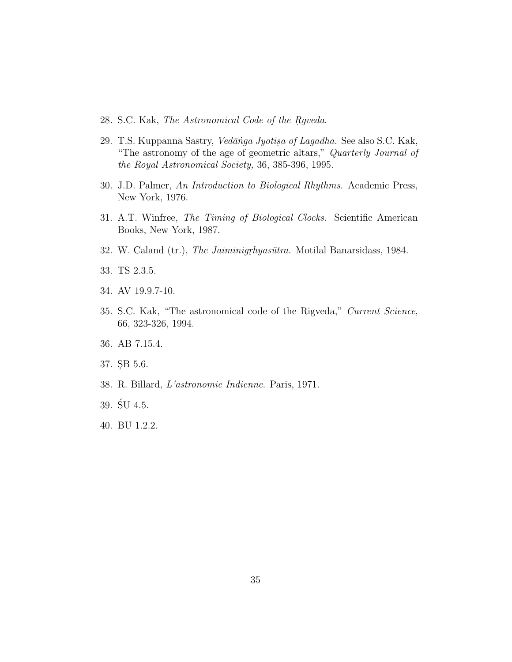- 28. S.C. Kak, The Astronomical Code of the Raveda.
- 29. T.S. Kuppanna Sastry, *Vedānga Jyotisa of Lagadha*. See also S.C. Kak, "The astronomy of the age of geometric altars," Quarterly Journal of the Royal Astronomical Society, 36, 385-396, 1995.
- 30. J.D. Palmer, An Introduction to Biological Rhythms. Academic Press, New York, 1976.
- 31. A.T. Winfree, The Timing of Biological Clocks. Scientific American Books, New York, 1987.
- 32. W. Caland (tr.), The Jaiminigrhyasūtra. Motilal Banarsidass, 1984.
- 33. TS 2.3.5.
- 34. AV 19.9.7-10.
- 35. S.C. Kak, "The astronomical code of the Rigveda," Current Science, 66, 323-326, 1994.
- 36. AB 7.15.4.
- 37. SB 5.6.
- 38. R. Billard, L'astronomie Indienne. Paris, 1971.
- $39. \text{SU } 4.5.$
- 40. BU 1.2.2.